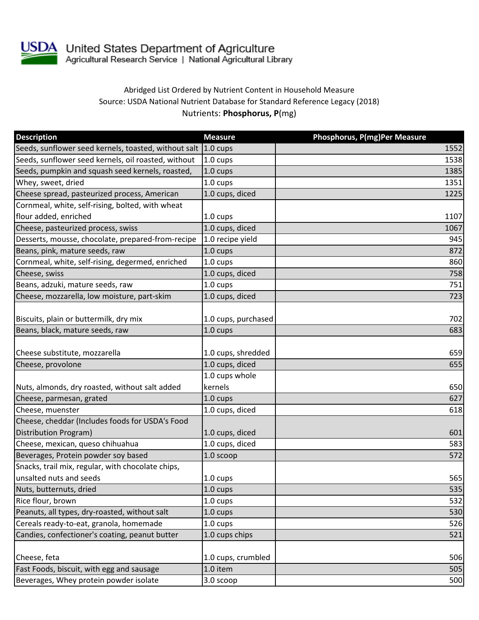

USDA United States Department of Agriculture<br>Agricultural Research Service | National Agricultural Library

## Abridged List Ordered by Nutrient Content in Household Measure Source: USDA National Nutrient Database for Standard Reference Legacy (2018) Nutrients: **Phosphorus, P**(mg)

| <b>Description</b>                                            | <b>Measure</b>      | Phosphorus, P(mg)Per Measure |
|---------------------------------------------------------------|---------------------|------------------------------|
| Seeds, sunflower seed kernels, toasted, without salt 1.0 cups |                     | 1552                         |
| Seeds, sunflower seed kernels, oil roasted, without           | $1.0 \text{ cups}$  | 1538                         |
| Seeds, pumpkin and squash seed kernels, roasted,              | 1.0 cups            | 1385                         |
| Whey, sweet, dried                                            | 1.0 cups            | 1351                         |
| Cheese spread, pasteurized process, American                  | 1.0 cups, diced     | 1225                         |
| Cornmeal, white, self-rising, bolted, with wheat              |                     |                              |
| flour added, enriched                                         | $1.0 \text{ cups}$  | 1107                         |
| Cheese, pasteurized process, swiss                            | 1.0 cups, diced     | 1067                         |
| Desserts, mousse, chocolate, prepared-from-recipe             | 1.0 recipe yield    | 945                          |
| Beans, pink, mature seeds, raw                                | $1.0 \text{ cups}$  | 872                          |
| Cornmeal, white, self-rising, degermed, enriched              | 1.0 cups            | 860                          |
| Cheese, swiss                                                 | 1.0 cups, diced     | 758                          |
| Beans, adzuki, mature seeds, raw                              | 1.0 cups            | 751                          |
| Cheese, mozzarella, low moisture, part-skim                   | 1.0 cups, diced     | 723                          |
| Biscuits, plain or buttermilk, dry mix                        | 1.0 cups, purchased | 702                          |
| Beans, black, mature seeds, raw                               | 1.0 cups            | 683                          |
| Cheese substitute, mozzarella                                 | 1.0 cups, shredded  | 659                          |
| Cheese, provolone                                             | 1.0 cups, diced     | 655                          |
|                                                               | 1.0 cups whole      |                              |
| Nuts, almonds, dry roasted, without salt added                | kernels             | 650                          |
| Cheese, parmesan, grated                                      | $1.0 \text{ cups}$  | 627                          |
| Cheese, muenster                                              | 1.0 cups, diced     | 618                          |
| Cheese, cheddar (Includes foods for USDA's Food               |                     |                              |
| Distribution Program)                                         | 1.0 cups, diced     | 601                          |
| Cheese, mexican, queso chihuahua                              | 1.0 cups, diced     | 583                          |
| Beverages, Protein powder soy based                           | 1.0 scoop           | 572                          |
| Snacks, trail mix, regular, with chocolate chips,             |                     |                              |
| unsalted nuts and seeds                                       | 1.0 cups            | 565                          |
| Nuts, butternuts, dried                                       | 1.0 cups            | 535                          |
| Rice flour, brown                                             | 1.0 cups            | 532                          |
| Peanuts, all types, dry-roasted, without salt                 | 1.0 cups            | 530                          |
| Cereals ready-to-eat, granola, homemade                       | 1.0 cups            | 526                          |
| Candies, confectioner's coating, peanut butter                | 1.0 cups chips      | 521                          |
|                                                               |                     |                              |
| Cheese, feta                                                  | 1.0 cups, crumbled  | 506                          |
| Fast Foods, biscuit, with egg and sausage                     | 1.0 item            | 505                          |
| Beverages, Whey protein powder isolate                        | 3.0 scoop           | 500                          |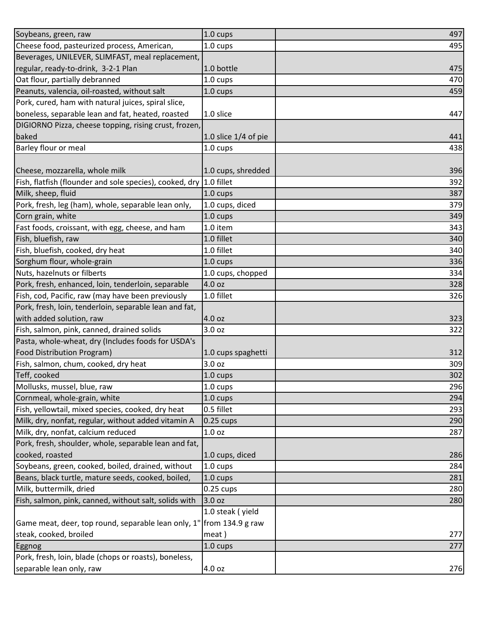| Soybeans, green, raw                                                 | 1.0 cups               | 497 |
|----------------------------------------------------------------------|------------------------|-----|
| Cheese food, pasteurized process, American,                          | 1.0 cups               | 495 |
| Beverages, UNILEVER, SLIMFAST, meal replacement,                     |                        |     |
| regular, ready-to-drink, 3-2-1 Plan                                  | 1.0 bottle             | 475 |
| Oat flour, partially debranned                                       | 1.0 cups               | 470 |
| Peanuts, valencia, oil-roasted, without salt                         | 1.0 cups               | 459 |
| Pork, cured, ham with natural juices, spiral slice,                  |                        |     |
| boneless, separable lean and fat, heated, roasted                    | 1.0 slice              | 447 |
| DIGIORNO Pizza, cheese topping, rising crust, frozen,                |                        |     |
| baked                                                                | 1.0 slice $1/4$ of pie | 441 |
| Barley flour or meal                                                 | 1.0 cups               | 438 |
|                                                                      |                        |     |
| Cheese, mozzarella, whole milk                                       | 1.0 cups, shredded     | 396 |
| Fish, flatfish (flounder and sole species), cooked, dry              | 1.0 fillet             | 392 |
| Milk, sheep, fluid                                                   | $1.0 \text{ cups}$     | 387 |
| Pork, fresh, leg (ham), whole, separable lean only,                  | 1.0 cups, diced        | 379 |
| Corn grain, white                                                    | 1.0 cups               | 349 |
| Fast foods, croissant, with egg, cheese, and ham                     | 1.0 item               | 343 |
| Fish, bluefish, raw                                                  | 1.0 fillet             | 340 |
| Fish, bluefish, cooked, dry heat                                     | 1.0 fillet             | 340 |
| Sorghum flour, whole-grain                                           | 1.0 cups               | 336 |
| Nuts, hazelnuts or filberts                                          | 1.0 cups, chopped      | 334 |
| Pork, fresh, enhanced, loin, tenderloin, separable                   | 4.0 oz                 | 328 |
| Fish, cod, Pacific, raw (may have been previously                    | 1.0 fillet             | 326 |
| Pork, fresh, loin, tenderloin, separable lean and fat,               |                        |     |
| with added solution, raw                                             | 4.0 oz                 | 323 |
| Fish, salmon, pink, canned, drained solids                           | 3.0 oz                 | 322 |
| Pasta, whole-wheat, dry (Includes foods for USDA's                   |                        |     |
| <b>Food Distribution Program)</b>                                    | 1.0 cups spaghetti     | 312 |
| Fish, salmon, chum, cooked, dry heat                                 | 3.0 oz                 | 309 |
| Teff, cooked                                                         | 1.0 cups               | 302 |
| Mollusks, mussel, blue, raw                                          | 1.0 cups               | 296 |
| Cornmeal, whole-grain, white                                         | 1.0 cups               | 294 |
| Fish, yellowtail, mixed species, cooked, dry heat                    | 0.5 fillet             | 293 |
| Milk, dry, nonfat, regular, without added vitamin A                  | $0.25$ cups            | 290 |
| Milk, dry, nonfat, calcium reduced                                   | 1.0 <sub>oz</sub>      | 287 |
| Pork, fresh, shoulder, whole, separable lean and fat,                |                        |     |
| cooked, roasted                                                      | 1.0 cups, diced        | 286 |
| Soybeans, green, cooked, boiled, drained, without                    | 1.0 cups               | 284 |
| Beans, black turtle, mature seeds, cooked, boiled,                   | 1.0 cups               | 281 |
| Milk, buttermilk, dried                                              | $0.25$ cups            | 280 |
| Fish, salmon, pink, canned, without salt, solids with                | 3.0 oz                 | 280 |
|                                                                      | 1.0 steak (yield       |     |
| Game meat, deer, top round, separable lean only, 1" from 134.9 g raw |                        |     |
| steak, cooked, broiled                                               | meat)                  | 277 |
| Eggnog                                                               | 1.0 cups               | 277 |
| Pork, fresh, loin, blade (chops or roasts), boneless,                |                        |     |
| separable lean only, raw                                             | 4.0 oz                 | 276 |
|                                                                      |                        |     |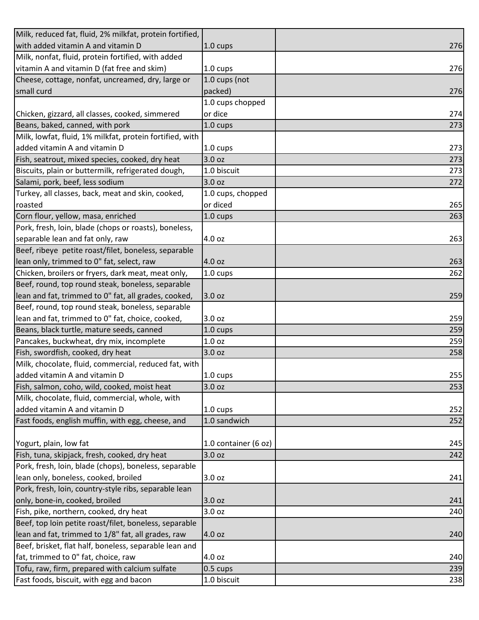| Milk, reduced fat, fluid, 2% milkfat, protein fortified, |                      |     |
|----------------------------------------------------------|----------------------|-----|
| with added vitamin A and vitamin D                       | 1.0 cups             | 276 |
| Milk, nonfat, fluid, protein fortified, with added       |                      |     |
| vitamin A and vitamin D (fat free and skim)              | 1.0 cups             | 276 |
| Cheese, cottage, nonfat, uncreamed, dry, large or        | 1.0 cups (not        |     |
| small curd                                               | packed)              | 276 |
|                                                          | 1.0 cups chopped     |     |
| Chicken, gizzard, all classes, cooked, simmered          | or dice              | 274 |
| Beans, baked, canned, with pork                          | 1.0 cups             | 273 |
| Milk, lowfat, fluid, 1% milkfat, protein fortified, with |                      |     |
| added vitamin A and vitamin D                            | $1.0 \text{ cups}$   | 273 |
| Fish, seatrout, mixed species, cooked, dry heat          | 3.0 oz               | 273 |
| Biscuits, plain or buttermilk, refrigerated dough,       | 1.0 biscuit          | 273 |
| Salami, pork, beef, less sodium                          | 3.0 oz               | 272 |
| Turkey, all classes, back, meat and skin, cooked,        | 1.0 cups, chopped    |     |
| roasted                                                  | or diced             | 265 |
| Corn flour, yellow, masa, enriched                       | 1.0 cups             | 263 |
| Pork, fresh, loin, blade (chops or roasts), boneless,    |                      |     |
| separable lean and fat only, raw                         | 4.0 oz               | 263 |
| Beef, ribeye petite roast/filet, boneless, separable     |                      |     |
| lean only, trimmed to 0" fat, select, raw                | 4.0 oz               | 263 |
| Chicken, broilers or fryers, dark meat, meat only,       | 1.0 cups             | 262 |
| Beef, round, top round steak, boneless, separable        |                      |     |
| lean and fat, trimmed to 0" fat, all grades, cooked,     | 3.0 oz               | 259 |
| Beef, round, top round steak, boneless, separable        |                      |     |
| lean and fat, trimmed to 0" fat, choice, cooked,         | 3.0 oz               | 259 |
| Beans, black turtle, mature seeds, canned                | 1.0 cups             | 259 |
| Pancakes, buckwheat, dry mix, incomplete                 | 1.0 <sub>oz</sub>    | 259 |
| Fish, swordfish, cooked, dry heat                        | 3.0 oz               | 258 |
| Milk, chocolate, fluid, commercial, reduced fat, with    |                      |     |
| added vitamin A and vitamin D                            | 1.0 cups             | 255 |
| Fish, salmon, coho, wild, cooked, moist heat             | 3.0 oz               | 253 |
| Milk, chocolate, fluid, commercial, whole, with          |                      |     |
| added vitamin A and vitamin D                            | 1.0 cups             | 252 |
| Fast foods, english muffin, with egg, cheese, and        | 1.0 sandwich         | 252 |
|                                                          |                      |     |
| Yogurt, plain, low fat                                   | 1.0 container (6 oz) | 245 |
| Fish, tuna, skipjack, fresh, cooked, dry heat            | 3.0 oz               | 242 |
| Pork, fresh, loin, blade (chops), boneless, separable    |                      |     |
| lean only, boneless, cooked, broiled                     | 3.0 oz               | 241 |
| Pork, fresh, loin, country-style ribs, separable lean    |                      |     |
| only, bone-in, cooked, broiled                           | 3.0 oz               | 241 |
| Fish, pike, northern, cooked, dry heat                   | 3.0 oz               | 240 |
| Beef, top loin petite roast/filet, boneless, separable   |                      |     |
| lean and fat, trimmed to 1/8" fat, all grades, raw       | 4.0 oz               | 240 |
| Beef, brisket, flat half, boneless, separable lean and   |                      |     |
| fat, trimmed to 0" fat, choice, raw                      | 4.0 oz               | 240 |
| Tofu, raw, firm, prepared with calcium sulfate           | $0.5 \text{ cups}$   | 239 |
| Fast foods, biscuit, with egg and bacon                  | 1.0 biscuit          | 238 |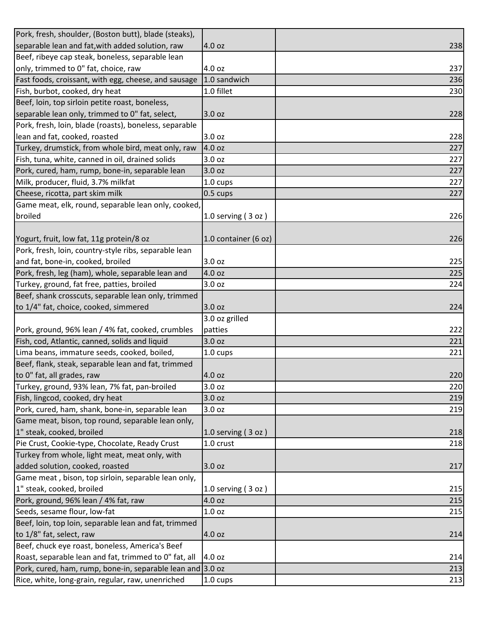| Pork, fresh, shoulder, (Boston butt), blade (steaks),      |                         |     |
|------------------------------------------------------------|-------------------------|-----|
| separable lean and fat, with added solution, raw           | 4.0 oz                  | 238 |
| Beef, ribeye cap steak, boneless, separable lean           |                         |     |
| only, trimmed to 0" fat, choice, raw                       | 4.0 oz                  | 237 |
| Fast foods, croissant, with egg, cheese, and sausage       | 1.0 sandwich            | 236 |
| Fish, burbot, cooked, dry heat                             | 1.0 fillet              | 230 |
| Beef, loin, top sirloin petite roast, boneless,            |                         |     |
| separable lean only, trimmed to 0" fat, select,            | 3.0 oz                  | 228 |
| Pork, fresh, loin, blade (roasts), boneless, separable     |                         |     |
| lean and fat, cooked, roasted                              | 3.0 oz                  | 228 |
| Turkey, drumstick, from whole bird, meat only, raw         | 4.0 oz                  | 227 |
| Fish, tuna, white, canned in oil, drained solids           | 3.0 oz                  | 227 |
| Pork, cured, ham, rump, bone-in, separable lean            | 3.0 <sub>oz</sub>       | 227 |
| Milk, producer, fluid, 3.7% milkfat                        | 1.0 cups                | 227 |
| Cheese, ricotta, part skim milk                            | 0.5 cups                | 227 |
| Game meat, elk, round, separable lean only, cooked,        |                         |     |
| broiled                                                    | 1.0 serving $(3 oz)$    | 226 |
|                                                            |                         |     |
| Yogurt, fruit, low fat, 11g protein/8 oz                   | 1.0 container (6 oz)    | 226 |
| Pork, fresh, loin, country-style ribs, separable lean      |                         |     |
| and fat, bone-in, cooked, broiled                          | 3.0 <sub>oz</sub>       | 225 |
| Pork, fresh, leg (ham), whole, separable lean and          | 4.0 oz                  | 225 |
| Turkey, ground, fat free, patties, broiled                 | 3.0 oz                  | 224 |
| Beef, shank crosscuts, separable lean only, trimmed        |                         |     |
| to 1/4" fat, choice, cooked, simmered                      | 3.0 oz                  | 224 |
|                                                            | 3.0 oz grilled          |     |
| Pork, ground, 96% lean / 4% fat, cooked, crumbles          | patties                 | 222 |
| Fish, cod, Atlantic, canned, solids and liquid             | 3.0 oz                  | 221 |
| Lima beans, immature seeds, cooked, boiled,                | 1.0 cups                | 221 |
| Beef, flank, steak, separable lean and fat, trimmed        |                         |     |
| to 0" fat, all grades, raw                                 | 4.0 oz                  | 220 |
| Turkey, ground, 93% lean, 7% fat, pan-broiled              | 3.0 <sub>oz</sub>       | 220 |
| Fish, lingcod, cooked, dry heat                            | 3.0 oz                  | 219 |
| Pork, cured, ham, shank, bone-in, separable lean           | 3.0 oz                  | 219 |
| Game meat, bison, top round, separable lean only,          |                         |     |
| 1" steak, cooked, broiled                                  | $1.0$ serving ( $3$ oz) | 218 |
| Pie Crust, Cookie-type, Chocolate, Ready Crust             | 1.0 crust               | 218 |
| Turkey from whole, light meat, meat only, with             |                         |     |
| added solution, cooked, roasted                            | 3.0 oz                  | 217 |
| Game meat, bison, top sirloin, separable lean only,        |                         |     |
| 1" steak, cooked, broiled                                  | 1.0 serving $(3 oz)$    | 215 |
| Pork, ground, 96% lean / 4% fat, raw                       | 4.0 oz                  | 215 |
| Seeds, sesame flour, low-fat                               | 1.0 <sub>oz</sub>       | 215 |
| Beef, loin, top loin, separable lean and fat, trimmed      |                         |     |
| to 1/8" fat, select, raw                                   | 4.0 oz                  | 214 |
| Beef, chuck eye roast, boneless, America's Beef            |                         |     |
| Roast, separable lean and fat, trimmed to 0" fat, all      | 4.0 oz                  | 214 |
| Pork, cured, ham, rump, bone-in, separable lean and 3.0 oz |                         | 213 |
| Rice, white, long-grain, regular, raw, unenriched          | 1.0 cups                | 213 |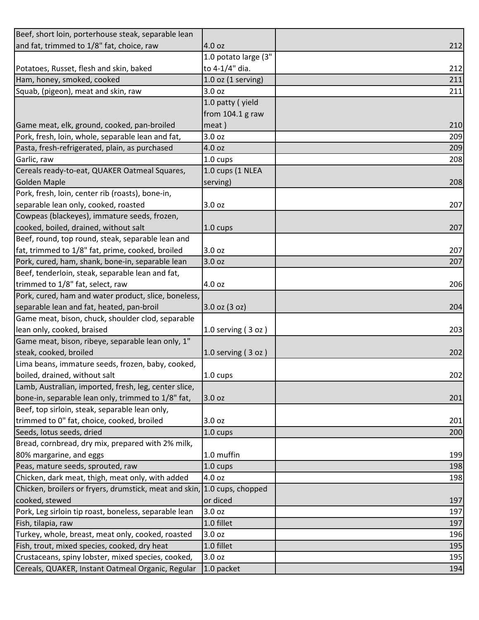| Beef, short loin, porterhouse steak, separable lean                      |                        |     |
|--------------------------------------------------------------------------|------------------------|-----|
| and fat, trimmed to 1/8" fat, choice, raw                                | 4.0 oz                 | 212 |
|                                                                          | 1.0 potato large (3"   |     |
| Potatoes, Russet, flesh and skin, baked                                  | to 4-1/4" dia.         | 212 |
| Ham, honey, smoked, cooked                                               | $1.0$ oz (1 serving)   | 211 |
| Squab, (pigeon), meat and skin, raw                                      | 3.0 oz                 | 211 |
|                                                                          | 1.0 patty (yield       |     |
|                                                                          | from $104.1$ g raw     |     |
| Game meat, elk, ground, cooked, pan-broiled                              | meat)                  | 210 |
| Pork, fresh, loin, whole, separable lean and fat,                        | 3.0 oz                 | 209 |
| Pasta, fresh-refrigerated, plain, as purchased                           | 4.0 oz                 | 209 |
| Garlic, raw                                                              | 1.0 cups               | 208 |
| Cereals ready-to-eat, QUAKER Oatmeal Squares,                            | 1.0 cups (1 NLEA       |     |
| <b>Golden Maple</b>                                                      | serving)               | 208 |
| Pork, fresh, loin, center rib (roasts), bone-in,                         |                        |     |
| separable lean only, cooked, roasted                                     | 3.0 oz                 | 207 |
| Cowpeas (blackeyes), immature seeds, frozen,                             |                        |     |
| cooked, boiled, drained, without salt                                    | 1.0 cups               | 207 |
| Beef, round, top round, steak, separable lean and                        |                        |     |
| fat, trimmed to 1/8" fat, prime, cooked, broiled                         | 3.0 oz                 | 207 |
| Pork, cured, ham, shank, bone-in, separable lean                         | 3.0 oz                 | 207 |
| Beef, tenderloin, steak, separable lean and fat,                         |                        |     |
| trimmed to 1/8" fat, select, raw                                         | 4.0 oz                 | 206 |
| Pork, cured, ham and water product, slice, boneless,                     |                        |     |
| separable lean and fat, heated, pan-broil                                | 3.0 oz (3 oz)          | 204 |
| Game meat, bison, chuck, shoulder clod, separable                        |                        |     |
| lean only, cooked, braised                                               | 1.0 serving $(3 oz)$   | 203 |
| Game meat, bison, ribeye, separable lean only, 1"                        |                        |     |
| steak, cooked, broiled                                                   | $1.0$ serving $(3$ oz) | 202 |
| Lima beans, immature seeds, frozen, baby, cooked,                        |                        |     |
| boiled, drained, without salt                                            | 1.0 cups               | 202 |
| Lamb, Australian, imported, fresh, leg, center slice,                    |                        |     |
| bone-in, separable lean only, trimmed to 1/8" fat,                       | 3.0 oz                 | 201 |
| Beef, top sirloin, steak, separable lean only,                           |                        |     |
| trimmed to 0" fat, choice, cooked, broiled                               | 3.0 oz                 | 201 |
| Seeds, lotus seeds, dried                                                | 1.0 cups               | 200 |
| Bread, cornbread, dry mix, prepared with 2% milk,                        |                        |     |
| 80% margarine, and eggs                                                  | 1.0 muffin             | 199 |
| Peas, mature seeds, sprouted, raw                                        | 1.0 cups               | 198 |
| Chicken, dark meat, thigh, meat only, with added                         | 4.0 oz                 | 198 |
| Chicken, broilers or fryers, drumstick, meat and skin, 1.0 cups, chopped |                        |     |
| cooked, stewed                                                           | or diced               | 197 |
| Pork, Leg sirloin tip roast, boneless, separable lean                    | 3.0 oz                 | 197 |
| Fish, tilapia, raw                                                       | 1.0 fillet             | 197 |
| Turkey, whole, breast, meat only, cooked, roasted                        | 3.0 oz                 | 196 |
| Fish, trout, mixed species, cooked, dry heat                             | 1.0 fillet             | 195 |
| Crustaceans, spiny lobster, mixed species, cooked,                       | 3.0 oz                 | 195 |
| Cereals, QUAKER, Instant Oatmeal Organic, Regular                        | $1.0$ packet           | 194 |
|                                                                          |                        |     |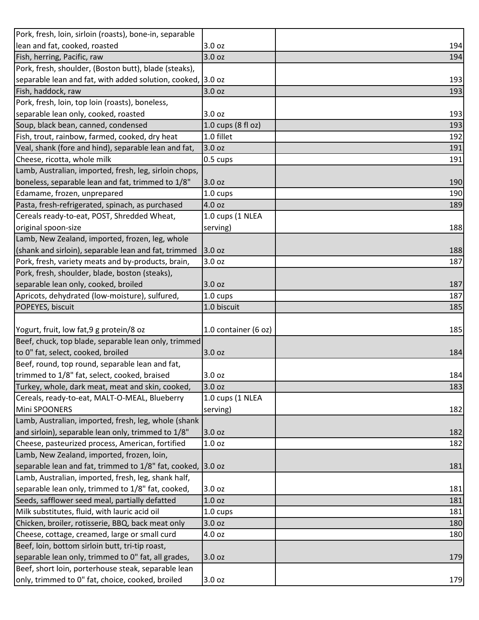| Pork, fresh, loin, sirloin (roasts), bone-in, separable     |                      |     |
|-------------------------------------------------------------|----------------------|-----|
| lean and fat, cooked, roasted                               | 3.0 oz               | 194 |
| Fish, herring, Pacific, raw                                 | 3.0 oz               | 194 |
| Pork, fresh, shoulder, (Boston butt), blade (steaks),       |                      |     |
| separable lean and fat, with added solution, cooked, 3.0 oz |                      | 193 |
| Fish, haddock, raw                                          | 3.0 oz               | 193 |
| Pork, fresh, loin, top loin (roasts), boneless,             |                      |     |
| separable lean only, cooked, roasted                        | 3.0 <sub>oz</sub>    | 193 |
| Soup, black bean, canned, condensed                         | 1.0 cups (8 fl oz)   | 193 |
| Fish, trout, rainbow, farmed, cooked, dry heat              | 1.0 fillet           | 192 |
| Veal, shank (fore and hind), separable lean and fat,        | 3.0 oz               | 191 |
| Cheese, ricotta, whole milk                                 | 0.5 cups             | 191 |
| Lamb, Australian, imported, fresh, leg, sirloin chops,      |                      |     |
| boneless, separable lean and fat, trimmed to 1/8"           | 3.0 oz               | 190 |
| Edamame, frozen, unprepared                                 | $1.0 \text{ cups}$   | 190 |
| Pasta, fresh-refrigerated, spinach, as purchased            | 4.0 oz               | 189 |
| Cereals ready-to-eat, POST, Shredded Wheat,                 | 1.0 cups (1 NLEA     |     |
| original spoon-size                                         | serving)             | 188 |
| Lamb, New Zealand, imported, frozen, leg, whole             |                      |     |
| (shank and sirloin), separable lean and fat, trimmed        | 3.0 oz               | 188 |
| Pork, fresh, variety meats and by-products, brain,          | 3.0 oz               | 187 |
| Pork, fresh, shoulder, blade, boston (steaks),              |                      |     |
| separable lean only, cooked, broiled                        | 3.0 oz               | 187 |
| Apricots, dehydrated (low-moisture), sulfured,              | 1.0 cups             | 187 |
| POPEYES, biscuit                                            | 1.0 biscuit          | 185 |
|                                                             |                      |     |
| Yogurt, fruit, low fat, 9 g protein/8 oz                    | 1.0 container (6 oz) | 185 |
| Beef, chuck, top blade, separable lean only, trimmed        |                      |     |
| to 0" fat, select, cooked, broiled                          | 3.0 oz               | 184 |
| Beef, round, top round, separable lean and fat,             |                      |     |
| trimmed to 1/8" fat, select, cooked, braised                | 3.0 oz               | 184 |
| Turkey, whole, dark meat, meat and skin, cooked,            | 3.0 oz               | 183 |
| Cereals, ready-to-eat, MALT-O-MEAL, Blueberry               | 1.0 cups (1 NLEA     |     |
| Mini SPOONERS                                               | serving)             | 182 |
| Lamb, Australian, imported, fresh, leg, whole (shank        |                      |     |
| and sirloin), separable lean only, trimmed to 1/8"          | 3.0 oz               | 182 |
| Cheese, pasteurized process, American, fortified            | 1.0 <sub>oz</sub>    | 182 |
| Lamb, New Zealand, imported, frozen, loin,                  |                      |     |
| separable lean and fat, trimmed to 1/8" fat, cooked,        | 3.0 oz               | 181 |
| Lamb, Australian, imported, fresh, leg, shank half,         |                      |     |
| separable lean only, trimmed to 1/8" fat, cooked,           | 3.0 oz               | 181 |
| Seeds, safflower seed meal, partially defatted              | 1.0 <sub>oz</sub>    | 181 |
| Milk substitutes, fluid, with lauric acid oil               | 1.0 cups             | 181 |
| Chicken, broiler, rotisserie, BBQ, back meat only           | 3.0 oz               | 180 |
| Cheese, cottage, creamed, large or small curd               | 4.0 oz               | 180 |
| Beef, loin, bottom sirloin butt, tri-tip roast,             |                      |     |
| separable lean only, trimmed to 0" fat, all grades,         | 3.0 oz               | 179 |
| Beef, short loin, porterhouse steak, separable lean         |                      |     |
| only, trimmed to 0" fat, choice, cooked, broiled            | 3.0 oz               | 179 |
|                                                             |                      |     |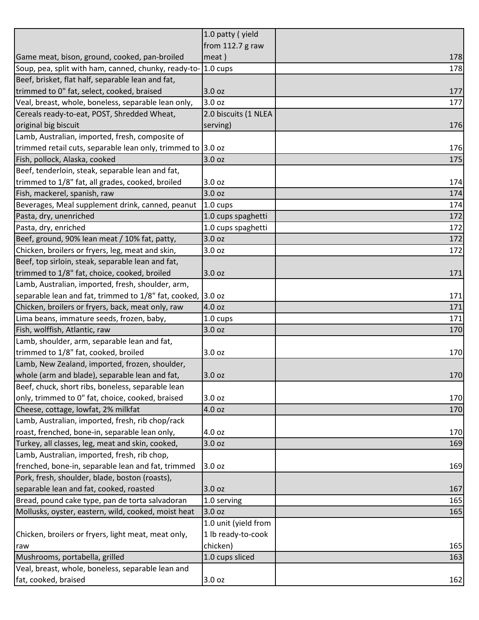|                                                               | 1.0 patty (yield     |     |
|---------------------------------------------------------------|----------------------|-----|
|                                                               | from 112.7 g raw     |     |
| Game meat, bison, ground, cooked, pan-broiled                 | meat)                | 178 |
| Soup, pea, split with ham, canned, chunky, ready-to-11.0 cups |                      | 178 |
| Beef, brisket, flat half, separable lean and fat,             |                      |     |
| trimmed to 0" fat, select, cooked, braised                    | 3.0 oz               | 177 |
| Veal, breast, whole, boneless, separable lean only,           | 3.0 oz               | 177 |
| Cereals ready-to-eat, POST, Shredded Wheat,                   | 2.0 biscuits (1 NLEA |     |
| original big biscuit                                          | serving)             | 176 |
| Lamb, Australian, imported, fresh, composite of               |                      |     |
| trimmed retail cuts, separable lean only, trimmed to 3.0 oz   |                      | 176 |
| Fish, pollock, Alaska, cooked                                 | 3.0 oz               | 175 |
| Beef, tenderloin, steak, separable lean and fat,              |                      |     |
| trimmed to 1/8" fat, all grades, cooked, broiled              | 3.0 oz               | 174 |
| Fish, mackerel, spanish, raw                                  | 3.0 oz               | 174 |
| Beverages, Meal supplement drink, canned, peanut              | $1.0 \text{ cups}$   | 174 |
| Pasta, dry, unenriched                                        | 1.0 cups spaghetti   | 172 |
| Pasta, dry, enriched                                          | 1.0 cups spaghetti   | 172 |
| Beef, ground, 90% lean meat / 10% fat, patty,                 | 3.0 oz               | 172 |
| Chicken, broilers or fryers, leg, meat and skin,              | 3.0 oz               | 172 |
| Beef, top sirloin, steak, separable lean and fat,             |                      |     |
| trimmed to 1/8" fat, choice, cooked, broiled                  | 3.0 oz               | 171 |
| Lamb, Australian, imported, fresh, shoulder, arm,             |                      |     |
| separable lean and fat, trimmed to 1/8" fat, cooked, 3.0 oz   |                      | 171 |
| Chicken, broilers or fryers, back, meat only, raw             | 4.0 oz               | 171 |
| Lima beans, immature seeds, frozen, baby,                     | 1.0 cups             | 171 |
| Fish, wolffish, Atlantic, raw                                 | 3.0 oz               | 170 |
| Lamb, shoulder, arm, separable lean and fat,                  |                      |     |
| trimmed to 1/8" fat, cooked, broiled                          | 3.0 oz               | 170 |
| Lamb, New Zealand, imported, frozen, shoulder,                |                      |     |
| whole (arm and blade), separable lean and fat,                | 3.0 oz               | 170 |
| Beef, chuck, short ribs, boneless, separable lean             |                      |     |
| only, trimmed to 0" fat, choice, cooked, braised              | 3.0 oz               | 170 |
| Cheese, cottage, lowfat, 2% milkfat                           | 4.0 oz               | 170 |
| Lamb, Australian, imported, fresh, rib chop/rack              |                      |     |
| roast, frenched, bone-in, separable lean only,                | 4.0 oz               | 170 |
| Turkey, all classes, leg, meat and skin, cooked,              | 3.0 oz               | 169 |
| Lamb, Australian, imported, fresh, rib chop,                  |                      |     |
| frenched, bone-in, separable lean and fat, trimmed            | 3.0 oz               | 169 |
| Pork, fresh, shoulder, blade, boston (roasts),                |                      |     |
| separable lean and fat, cooked, roasted                       | 3.0 oz               | 167 |
| Bread, pound cake type, pan de torta salvadoran               | 1.0 serving          | 165 |
| Mollusks, oyster, eastern, wild, cooked, moist heat           | 3.0 oz               | 165 |
|                                                               | 1.0 unit (yield from |     |
| Chicken, broilers or fryers, light meat, meat only,           | 1 lb ready-to-cook   |     |
| raw                                                           | chicken)             | 165 |
| Mushrooms, portabella, grilled                                | 1.0 cups sliced      | 163 |
| Veal, breast, whole, boneless, separable lean and             |                      |     |
| fat, cooked, braised                                          | 3.0 oz               | 162 |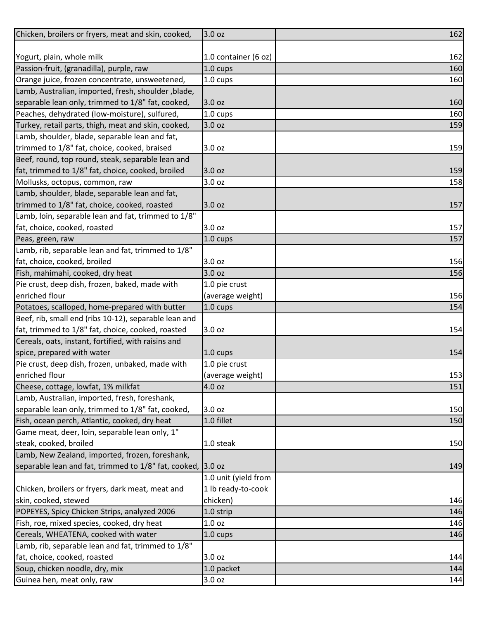| Chicken, broilers or fryers, meat and skin, cooked,         | 3.0 oz               | 162 |
|-------------------------------------------------------------|----------------------|-----|
|                                                             |                      |     |
| Yogurt, plain, whole milk                                   | 1.0 container (6 oz) | 162 |
| Passion-fruit, (granadilla), purple, raw                    | 1.0 cups             | 160 |
| Orange juice, frozen concentrate, unsweetened,              | 1.0 cups             | 160 |
| Lamb, Australian, imported, fresh, shoulder, blade,         |                      |     |
| separable lean only, trimmed to 1/8" fat, cooked,           | 3.0 oz               | 160 |
| Peaches, dehydrated (low-moisture), sulfured,               | 1.0 cups             | 160 |
| Turkey, retail parts, thigh, meat and skin, cooked,         | 3.0 oz               | 159 |
| Lamb, shoulder, blade, separable lean and fat,              |                      |     |
| trimmed to 1/8" fat, choice, cooked, braised                | 3.0 oz               | 159 |
| Beef, round, top round, steak, separable lean and           |                      |     |
| fat, trimmed to 1/8" fat, choice, cooked, broiled           | 3.0 oz               | 159 |
| Mollusks, octopus, common, raw                              | 3.0 oz               | 158 |
| Lamb, shoulder, blade, separable lean and fat,              |                      |     |
| trimmed to 1/8" fat, choice, cooked, roasted                | 3.0 oz               | 157 |
| Lamb, loin, separable lean and fat, trimmed to 1/8"         |                      |     |
| fat, choice, cooked, roasted                                | 3.0 oz               | 157 |
| Peas, green, raw                                            | $1.0 \text{ cups}$   | 157 |
| Lamb, rib, separable lean and fat, trimmed to 1/8"          |                      |     |
| fat, choice, cooked, broiled                                | 3.0 oz               | 156 |
| Fish, mahimahi, cooked, dry heat                            | 3.0 oz               | 156 |
| Pie crust, deep dish, frozen, baked, made with              | 1.0 pie crust        |     |
| enriched flour                                              | (average weight)     | 156 |
| Potatoes, scalloped, home-prepared with butter              | 1.0 cups             | 154 |
| Beef, rib, small end (ribs 10-12), separable lean and       |                      |     |
| fat, trimmed to 1/8" fat, choice, cooked, roasted           | 3.0 oz               | 154 |
| Cereals, oats, instant, fortified, with raisins and         |                      |     |
| spice, prepared with water                                  | $1.0 \text{ cups}$   | 154 |
| Pie crust, deep dish, frozen, unbaked, made with            | 1.0 pie crust        |     |
| enriched flour                                              | (average weight)     | 153 |
| Cheese, cottage, lowfat, 1% milkfat                         | 4.0 oz               | 151 |
| Lamb, Australian, imported, fresh, foreshank,               |                      |     |
| separable lean only, trimmed to 1/8" fat, cooked,           | 3.0 oz               | 150 |
| Fish, ocean perch, Atlantic, cooked, dry heat               | 1.0 fillet           | 150 |
| Game meat, deer, loin, separable lean only, 1"              |                      |     |
| steak, cooked, broiled                                      | 1.0 steak            | 150 |
| Lamb, New Zealand, imported, frozen, foreshank,             |                      |     |
| separable lean and fat, trimmed to 1/8" fat, cooked, 3.0 oz |                      | 149 |
|                                                             | 1.0 unit (yield from |     |
| Chicken, broilers or fryers, dark meat, meat and            | 1 lb ready-to-cook   |     |
| skin, cooked, stewed                                        | chicken)             | 146 |
| POPEYES, Spicy Chicken Strips, analyzed 2006                | 1.0 strip            | 146 |
| Fish, roe, mixed species, cooked, dry heat                  | 1.0 <sub>oz</sub>    | 146 |
| Cereals, WHEATENA, cooked with water                        | 1.0 cups             | 146 |
| Lamb, rib, separable lean and fat, trimmed to 1/8"          |                      |     |
| fat, choice, cooked, roasted                                | 3.0 oz               | 144 |
| Soup, chicken noodle, dry, mix                              | 1.0 packet           | 144 |
| Guinea hen, meat only, raw                                  | 3.0 oz               | 144 |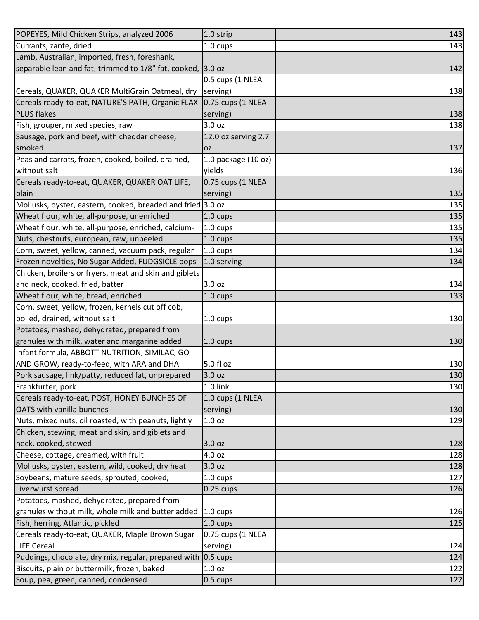| POPEYES, Mild Chicken Strips, analyzed 2006                                         | 1.0 strip                     | 143        |
|-------------------------------------------------------------------------------------|-------------------------------|------------|
| Currants, zante, dried                                                              | 1.0 cups                      | 143        |
| Lamb, Australian, imported, fresh, foreshank,                                       |                               |            |
| separable lean and fat, trimmed to 1/8" fat, cooked,                                | 3.0 oz                        | 142        |
|                                                                                     | 0.5 cups (1 NLEA              |            |
| Cereals, QUAKER, QUAKER MultiGrain Oatmeal, dry                                     | serving)                      | 138        |
| Cereals ready-to-eat, NATURE'S PATH, Organic FLAX                                   | $0.75$ cups (1 NLEA           |            |
| <b>PLUS flakes</b>                                                                  | serving)                      | 138        |
| Fish, grouper, mixed species, raw                                                   | 3.0 oz                        | 138        |
| Sausage, pork and beef, with cheddar cheese,                                        | 12.0 oz serving 2.7           |            |
| smoked                                                                              | <b>OZ</b>                     | 137        |
| Peas and carrots, frozen, cooked, boiled, drained,                                  | 1.0 package (10 oz)           |            |
| without salt                                                                        | yields                        | 136        |
| Cereals ready-to-eat, QUAKER, QUAKER OAT LIFE,                                      | 0.75 cups (1 NLEA             |            |
| plain                                                                               | serving)                      | 135        |
| Mollusks, oyster, eastern, cooked, breaded and fried 3.0 oz                         |                               | 135        |
| Wheat flour, white, all-purpose, unenriched                                         | $1.0 \text{ cups}$            | 135        |
| Wheat flour, white, all-purpose, enriched, calcium-                                 | 1.0 cups                      | 135        |
| Nuts, chestnuts, european, raw, unpeeled                                            | $1.0 \text{ cups}$            | 135        |
| Corn, sweet, yellow, canned, vacuum pack, regular                                   | 1.0 cups                      | 134        |
| Frozen novelties, No Sugar Added, FUDGSICLE pops                                    | 1.0 serving                   | 134        |
| Chicken, broilers or fryers, meat and skin and giblets                              |                               |            |
| and neck, cooked, fried, batter                                                     | 3.0 oz                        | 134        |
| Wheat flour, white, bread, enriched                                                 | 1.0 cups                      | 133        |
| Corn, sweet, yellow, frozen, kernels cut off cob,                                   |                               |            |
| boiled, drained, without salt                                                       | 1.0 cups                      | 130        |
| Potatoes, mashed, dehydrated, prepared from                                         |                               |            |
| granules with milk, water and margarine added                                       | 1.0 cups                      | 130        |
| Infant formula, ABBOTT NUTRITION, SIMILAC, GO                                       |                               |            |
| AND GROW, ready-to-feed, with ARA and DHA                                           | 5.0 fl oz                     | 130        |
| Pork sausage, link/patty, reduced fat, unprepared                                   | 3.0 oz                        | 130        |
| Frankfurter, pork                                                                   | 1.0 link                      | 130        |
| Cereals ready-to-eat, POST, HONEY BUNCHES OF                                        | 1.0 cups (1 NLEA              |            |
| OATS with vanilla bunches                                                           | serving)                      | 130        |
| Nuts, mixed nuts, oil roasted, with peanuts, lightly                                | 1.0 <sub>oz</sub>             | 129        |
| Chicken, stewing, meat and skin, and giblets and                                    |                               |            |
| neck, cooked, stewed                                                                | 3.0 oz                        | 128        |
| Cheese, cottage, creamed, with fruit                                                | 4.0 oz                        | 128        |
| Mollusks, oyster, eastern, wild, cooked, dry heat                                   | 3.0 oz                        | 128        |
| Soybeans, mature seeds, sprouted, cooked,                                           | 1.0 cups                      | 127        |
| Liverwurst spread                                                                   | $0.25$ cups                   | 126        |
| Potatoes, mashed, dehydrated, prepared from                                         |                               |            |
| granules without milk, whole milk and butter added                                  | $1.0 \text{ cups}$            | 126        |
| Fish, herring, Atlantic, pickled                                                    | $1.0 \text{ cups}$            | 125        |
| Cereals ready-to-eat, QUAKER, Maple Brown Sugar                                     | 0.75 cups (1 NLEA             |            |
| <b>LIFE Cereal</b>                                                                  | serving)                      | 124        |
| Puddings, chocolate, dry mix, regular, prepared with 0.5 cups                       |                               | 124        |
|                                                                                     |                               |            |
| Biscuits, plain or buttermilk, frozen, baked<br>Soup, pea, green, canned, condensed | 1.0 <sub>oz</sub><br>0.5 cups | 122<br>122 |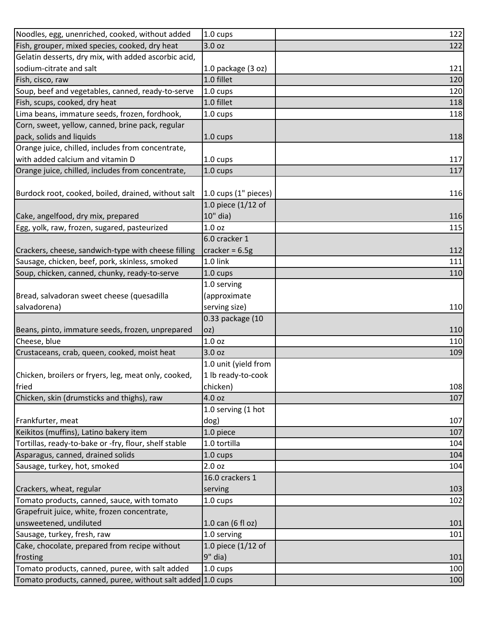| Noodles, egg, unenriched, cooked, without added       | 1.0 cups                 | 122               |
|-------------------------------------------------------|--------------------------|-------------------|
| Fish, grouper, mixed species, cooked, dry heat        | 3.0 oz                   | 122               |
| Gelatin desserts, dry mix, with added ascorbic acid,  |                          |                   |
| sodium-citrate and salt                               | 1.0 package $(3 oz)$     | 121               |
| Fish, cisco, raw                                      | 1.0 fillet               | 120               |
| Soup, beef and vegetables, canned, ready-to-serve     | 1.0 cups                 | 120               |
| Fish, scups, cooked, dry heat                         | 1.0 fillet               | 118               |
| Lima beans, immature seeds, frozen, fordhook,         | 1.0 cups                 | 118               |
| Corn, sweet, yellow, canned, brine pack, regular      |                          |                   |
| pack, solids and liquids                              | 1.0 cups                 | 118               |
| Orange juice, chilled, includes from concentrate,     |                          |                   |
| with added calcium and vitamin D                      | 1.0 cups                 | 117               |
| Orange juice, chilled, includes from concentrate,     | 1.0 cups                 | 117               |
|                                                       |                          |                   |
| Burdock root, cooked, boiled, drained, without salt   | $1.0$ cups $(1"$ pieces) | 116               |
|                                                       | 1.0 piece (1/12 of       |                   |
| Cake, angelfood, dry mix, prepared                    | 10" dia)                 | 116               |
| Egg, yolk, raw, frozen, sugared, pasteurized          | 1.0 <sub>oz</sub>        | 115               |
|                                                       | 6.0 cracker 1            |                   |
| Crackers, cheese, sandwich-type with cheese filling   | cracker = $6.5g$         | 112               |
| Sausage, chicken, beef, pork, skinless, smoked        | 1.0 link                 | 111               |
| Soup, chicken, canned, chunky, ready-to-serve         | 1.0 cups                 | 110               |
|                                                       | 1.0 serving              |                   |
| Bread, salvadoran sweet cheese (quesadilla            | (approximate             |                   |
| salvadorena)                                          | serving size)            | 110               |
|                                                       | 0.33 package (10         |                   |
| Beans, pinto, immature seeds, frozen, unprepared      | OZ)                      | 110               |
| Cheese, blue                                          | 1.0 <sub>oz</sub>        | 110               |
| Crustaceans, crab, queen, cooked, moist heat          | 3.0 oz                   | 109               |
|                                                       | 1.0 unit (yield from     |                   |
| Chicken, broilers or fryers, leg, meat only, cooked,  | 1 lb ready-to-cook       |                   |
| fried                                                 | chicken)                 | 108               |
| Chicken, skin (drumsticks and thighs), raw            | 4.0 oz                   | 107               |
|                                                       | 1.0 serving (1 hot       |                   |
| Frankfurter, meat                                     | dog)                     | 107               |
| Keikitos (muffins), Latino bakery item                | 1.0 piece                | 107               |
| Tortillas, ready-to-bake or -fry, flour, shelf stable | 1.0 tortilla             | 104               |
| Asparagus, canned, drained solids                     | 1.0 cups                 | 104               |
| Sausage, turkey, hot, smoked                          | 2.0 <sub>oz</sub>        | 104               |
|                                                       | 16.0 crackers 1          |                   |
| Crackers, wheat, regular                              | serving                  | 103               |
| Tomato products, canned, sauce, with tomato           |                          |                   |
|                                                       | 1.0 cups                 |                   |
| Grapefruit juice, white, frozen concentrate,          |                          |                   |
| unsweetened, undiluted                                | 1.0 can (6 fl oz)        |                   |
| Sausage, turkey, fresh, raw                           | 1.0 serving              | 102<br>101<br>101 |
| Cake, chocolate, prepared from recipe without         | 1.0 piece $(1/12$ of     |                   |
| frosting                                              | $9"$ dia)                | 101               |
| Tomato products, canned, puree, with salt added       | 1.0 cups                 | 100               |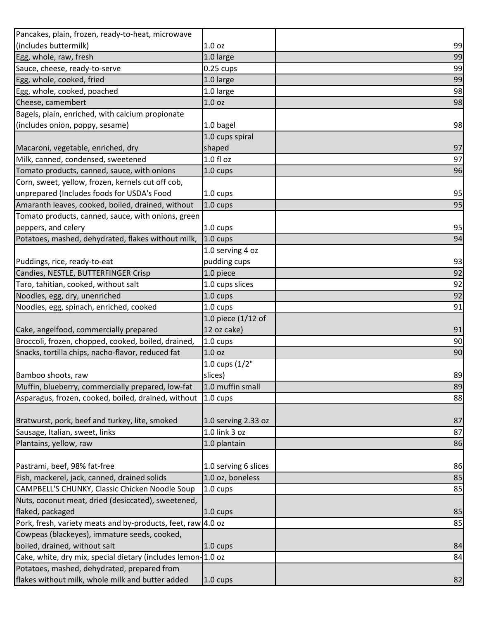| Pancakes, plain, frozen, ready-to-heat, microwave            |                      |    |
|--------------------------------------------------------------|----------------------|----|
| (includes buttermilk)                                        | 1.0 <sub>oz</sub>    | 99 |
| Egg, whole, raw, fresh                                       | 1.0 large            | 99 |
| Sauce, cheese, ready-to-serve                                | $0.25$ cups          | 99 |
| Egg, whole, cooked, fried                                    | 1.0 large            | 99 |
| Egg, whole, cooked, poached                                  | 1.0 large            | 98 |
| Cheese, camembert                                            | 1.0 <sub>oz</sub>    | 98 |
| Bagels, plain, enriched, with calcium propionate             |                      |    |
| (includes onion, poppy, sesame)                              | 1.0 bagel            | 98 |
|                                                              | 1.0 cups spiral      |    |
| Macaroni, vegetable, enriched, dry                           | shaped               | 97 |
| Milk, canned, condensed, sweetened                           | $1.0 f$ l oz         | 97 |
| Tomato products, canned, sauce, with onions                  | 1.0 cups             | 96 |
| Corn, sweet, yellow, frozen, kernels cut off cob,            |                      |    |
| unprepared (Includes foods for USDA's Food                   | 1.0 cups             | 95 |
| Amaranth leaves, cooked, boiled, drained, without            | 1.0 cups             | 95 |
| Tomato products, canned, sauce, with onions, green           |                      |    |
| peppers, and celery                                          | 1.0 cups             | 95 |
| Potatoes, mashed, dehydrated, flakes without milk,           | 1.0 cups             | 94 |
|                                                              | 1.0 serving 4 oz     |    |
| Puddings, rice, ready-to-eat                                 | pudding cups         | 93 |
| Candies, NESTLE, BUTTERFINGER Crisp                          | 1.0 piece            | 92 |
| Taro, tahitian, cooked, without salt                         | 1.0 cups slices      | 92 |
| Noodles, egg, dry, unenriched                                | 1.0 cups             | 92 |
| Noodles, egg, spinach, enriched, cooked                      | 1.0 cups             | 91 |
|                                                              | 1.0 piece (1/12 of   |    |
| Cake, angelfood, commercially prepared                       | 12 oz cake)          | 91 |
| Broccoli, frozen, chopped, cooked, boiled, drained,          | 1.0 cups             | 90 |
| Snacks, tortilla chips, nacho-flavor, reduced fat            | 1.0 <sub>oz</sub>    | 90 |
|                                                              | 1.0 cups (1/2"       |    |
| Bamboo shoots, raw                                           | slices)              | 89 |
| Muffin, blueberry, commercially prepared, low-fat            | 1.0 muffin small     | 89 |
| Asparagus, frozen, cooked, boiled, drained, without          | 1.0 cups             | 88 |
|                                                              |                      |    |
| Bratwurst, pork, beef and turkey, lite, smoked               | 1.0 serving 2.33 oz  | 87 |
| Sausage, Italian, sweet, links                               | 1.0 link 3 oz        | 87 |
| Plantains, yellow, raw                                       | 1.0 plantain         | 86 |
|                                                              |                      |    |
| Pastrami, beef, 98% fat-free                                 | 1.0 serving 6 slices | 86 |
| Fish, mackerel, jack, canned, drained solids                 | 1.0 oz, boneless     | 85 |
| CAMPBELL'S CHUNKY, Classic Chicken Noodle Soup               | 1.0 cups             | 85 |
| Nuts, coconut meat, dried (desiccated), sweetened,           |                      |    |
| flaked, packaged                                             | $1.0 \text{ cups}$   | 85 |
| Pork, fresh, variety meats and by-products, feet, raw 4.0 oz |                      | 85 |
| Cowpeas (blackeyes), immature seeds, cooked,                 |                      |    |
| boiled, drained, without salt                                | 1.0 cups             | 84 |
| Cake, white, dry mix, special dietary (includes lemon-1.0 oz |                      | 84 |
| Potatoes, mashed, dehydrated, prepared from                  |                      |    |
| flakes without milk, whole milk and butter added             | $1.0 \text{ cups}$   | 82 |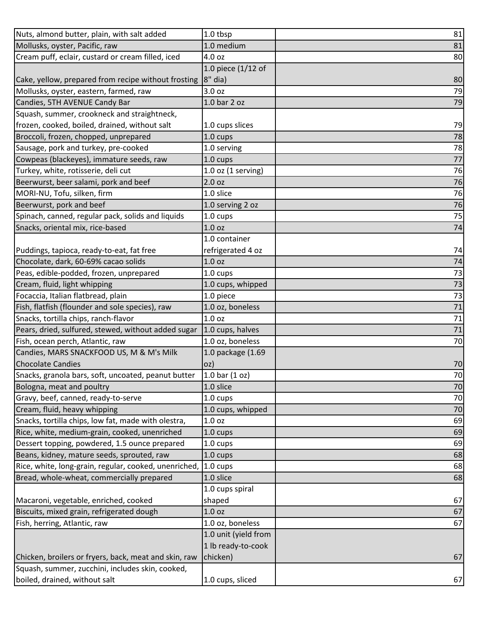| Nuts, almond butter, plain, with salt added           | 1.0 tbsp                             | 81 |
|-------------------------------------------------------|--------------------------------------|----|
| Mollusks, oyster, Pacific, raw                        | 1.0 medium                           | 81 |
| Cream puff, eclair, custard or cream filled, iced     | 4.0 oz                               | 80 |
|                                                       | 1.0 piece (1/12 of                   |    |
| Cake, yellow, prepared from recipe without frosting   | $8"$ dia)                            | 80 |
| Mollusks, oyster, eastern, farmed, raw                | 3.0 <sub>oz</sub>                    | 79 |
| Candies, 5TH AVENUE Candy Bar                         | 1.0 bar 2 oz                         | 79 |
| Squash, summer, crookneck and straightneck,           |                                      |    |
| frozen, cooked, boiled, drained, without salt         | 1.0 cups slices                      | 79 |
| Broccoli, frozen, chopped, unprepared                 | 1.0 cups                             | 78 |
| Sausage, pork and turkey, pre-cooked                  | 1.0 serving                          | 78 |
| Cowpeas (blackeyes), immature seeds, raw              | 1.0 cups                             | 77 |
| Turkey, white, rotisserie, deli cut                   | $1.0$ oz $(1$ serving)               | 76 |
| Beerwurst, beer salami, pork and beef                 | 2.0 <sub>oz</sub>                    | 76 |
| MORI-NU, Tofu, silken, firm                           | 1.0 slice                            | 76 |
| Beerwurst, pork and beef                              | 1.0 serving 2 oz                     | 76 |
| Spinach, canned, regular pack, solids and liquids     | $1.0 \text{ cups}$                   | 75 |
| Snacks, oriental mix, rice-based                      | 1.0 <sub>oz</sub>                    | 74 |
|                                                       | 1.0 container                        |    |
| Puddings, tapioca, ready-to-eat, fat free             | refrigerated 4 oz                    | 74 |
| Chocolate, dark, 60-69% cacao solids                  | 1.0 <sub>oz</sub>                    | 74 |
| Peas, edible-podded, frozen, unprepared               | $1.0 \text{ cups}$                   | 73 |
| Cream, fluid, light whipping                          | 1.0 cups, whipped                    | 73 |
| Focaccia, Italian flatbread, plain                    | 1.0 piece                            | 73 |
| Fish, flatfish (flounder and sole species), raw       | 1.0 oz, boneless                     | 71 |
| Snacks, tortilla chips, ranch-flavor                  | 1.0 <sub>oz</sub>                    | 71 |
| Pears, dried, sulfured, stewed, without added sugar   | 1.0 cups, halves                     | 71 |
| Fish, ocean perch, Atlantic, raw                      | 1.0 oz, boneless                     | 70 |
| Candies, MARS SNACKFOOD US, M & M's Milk              | 1.0 package (1.69                    |    |
| <b>Chocolate Candies</b>                              | oz)                                  | 70 |
| Snacks, granola bars, soft, uncoated, peanut butter   | $1.0 \,\text{bar} \,(1 \,\text{oz})$ | 70 |
| Bologna, meat and poultry                             | 1.0 slice                            | 70 |
| Gravy, beef, canned, ready-to-serve                   | 1.0 cups                             | 70 |
| Cream, fluid, heavy whipping                          | 1.0 cups, whipped                    | 70 |
| Snacks, tortilla chips, low fat, made with olestra,   | 1.0 <sub>oz</sub>                    | 69 |
| Rice, white, medium-grain, cooked, unenriched         | 1.0 cups                             | 69 |
| Dessert topping, powdered, 1.5 ounce prepared         | 1.0 cups                             | 69 |
| Beans, kidney, mature seeds, sprouted, raw            | 1.0 cups                             | 68 |
| Rice, white, long-grain, regular, cooked, unenriched, | $1.0 \text{ cups}$                   | 68 |
| Bread, whole-wheat, commercially prepared             | 1.0 slice                            | 68 |
|                                                       | 1.0 cups spiral                      |    |
| Macaroni, vegetable, enriched, cooked                 | shaped                               | 67 |
| Biscuits, mixed grain, refrigerated dough             | 1.0 <sub>oz</sub>                    | 67 |
| Fish, herring, Atlantic, raw                          | 1.0 oz, boneless                     | 67 |
|                                                       | 1.0 unit (yield from                 |    |
|                                                       | 1 lb ready-to-cook                   |    |
| Chicken, broilers or fryers, back, meat and skin, raw | chicken)                             | 67 |
| Squash, summer, zucchini, includes skin, cooked,      |                                      |    |
| boiled, drained, without salt                         | 1.0 cups, sliced                     | 67 |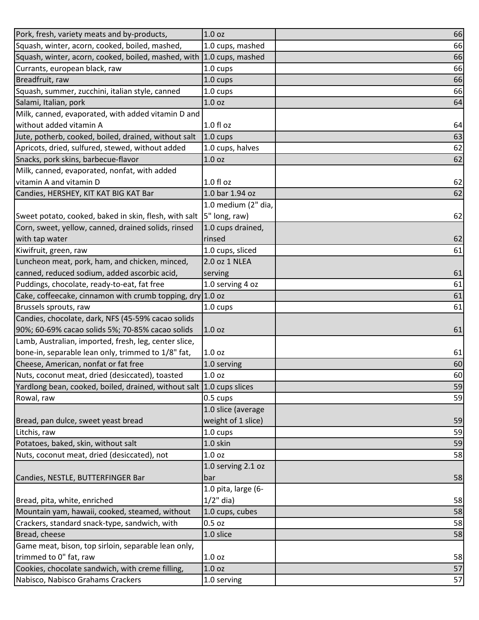| Pork, fresh, variety meats and by-products,                          | 1.0 <sub>oz</sub>   | 66 |
|----------------------------------------------------------------------|---------------------|----|
| Squash, winter, acorn, cooked, boiled, mashed,                       | 1.0 cups, mashed    | 66 |
| Squash, winter, acorn, cooked, boiled, mashed, with 1.0 cups, mashed |                     | 66 |
| Currants, european black, raw                                        | 1.0 cups            | 66 |
| Breadfruit, raw                                                      | 1.0 cups            | 66 |
| Squash, summer, zucchini, italian style, canned                      | $1.0 \text{ cups}$  | 66 |
| Salami, Italian, pork                                                | 1.0 <sub>oz</sub>   | 64 |
| Milk, canned, evaporated, with added vitamin D and                   |                     |    |
| without added vitamin A                                              | 1.0 fl oz           | 64 |
| Jute, potherb, cooked, boiled, drained, without salt                 | $1.0 \text{ cups}$  | 63 |
| Apricots, dried, sulfured, stewed, without added                     | 1.0 cups, halves    | 62 |
| Snacks, pork skins, barbecue-flavor                                  | 1.0 <sub>oz</sub>   | 62 |
| Milk, canned, evaporated, nonfat, with added                         |                     |    |
| vitamin A and vitamin D                                              | $1.0 f$ l oz        | 62 |
| Candies, HERSHEY, KIT KAT BIG KAT Bar                                | 1.0 bar 1.94 oz     | 62 |
|                                                                      | 1.0 medium (2" dia, |    |
| Sweet potato, cooked, baked in skin, flesh, with salt                | 5" long, raw)       | 62 |
| Corn, sweet, yellow, canned, drained solids, rinsed                  | 1.0 cups drained,   |    |
| with tap water                                                       | rinsed              | 62 |
| Kiwifruit, green, raw                                                | 1.0 cups, sliced    | 61 |
| Luncheon meat, pork, ham, and chicken, minced,                       | 2.0 oz 1 NLEA       |    |
| canned, reduced sodium, added ascorbic acid,                         | serving             | 61 |
| Puddings, chocolate, ready-to-eat, fat free                          | 1.0 serving 4 oz    | 61 |
| Cake, coffeecake, cinnamon with crumb topping, dry                   | 1.0 <sub>oz</sub>   | 61 |
| Brussels sprouts, raw                                                | $1.0 \text{ cups}$  | 61 |
| Candies, chocolate, dark, NFS (45-59% cacao solids                   |                     |    |
| 90%; 60-69% cacao solids 5%; 70-85% cacao solids                     | 1.0 <sub>oz</sub>   | 61 |
| Lamb, Australian, imported, fresh, leg, center slice,                |                     |    |
| bone-in, separable lean only, trimmed to 1/8" fat,                   | 1.0 <sub>oz</sub>   | 61 |
| Cheese, American, nonfat or fat free                                 | 1.0 serving         | 60 |
| Nuts, coconut meat, dried (desiccated), toasted                      | 1.0 <sub>oz</sub>   | 60 |
| Yardlong bean, cooked, boiled, drained, without salt 1.0 cups slices |                     | 59 |
| Rowal, raw                                                           | 0.5 cups            | 59 |
|                                                                      | 1.0 slice (average  |    |
| Bread, pan dulce, sweet yeast bread                                  | weight of 1 slice)  | 59 |
| Litchis, raw                                                         | $1.0 \text{ cups}$  | 59 |
| Potatoes, baked, skin, without salt                                  | 1.0 skin            | 59 |
| Nuts, coconut meat, dried (desiccated), not                          | 1.0 <sub>oz</sub>   | 58 |
|                                                                      | 1.0 serving 2.1 oz  |    |
| Candies, NESTLE, BUTTERFINGER Bar                                    | bar                 | 58 |
|                                                                      | 1.0 pita, large (6- |    |
| Bread, pita, white, enriched                                         | $1/2$ " dia)        | 58 |
| Mountain yam, hawaii, cooked, steamed, without                       | 1.0 cups, cubes     | 58 |
| Crackers, standard snack-type, sandwich, with                        | $0.5$ oz            | 58 |
| Bread, cheese                                                        | 1.0 slice           | 58 |
| Game meat, bison, top sirloin, separable lean only,                  |                     |    |
| trimmed to 0" fat, raw                                               | 1.0 <sub>oz</sub>   | 58 |
| Cookies, chocolate sandwich, with creme filling,                     | 1.0 oz              | 57 |
| Nabisco, Nabisco Grahams Crackers                                    | 1.0 serving         | 57 |
|                                                                      |                     |    |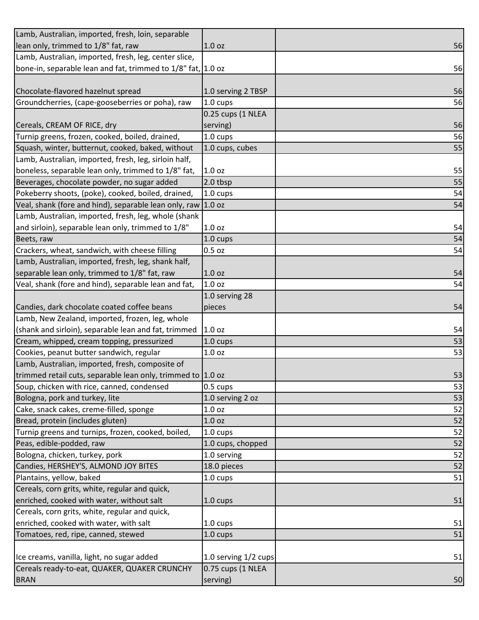| Lamb, Australian, imported, fresh, loin, separable           |                      |    |
|--------------------------------------------------------------|----------------------|----|
| lean only, trimmed to 1/8" fat, raw                          | 1.0 <sub>oz</sub>    | 56 |
| Lamb, Australian, imported, fresh, leg, center slice,        |                      |    |
| bone-in, separable lean and fat, trimmed to 1/8" fat, 1.0 oz |                      | 56 |
|                                                              |                      |    |
| Chocolate-flavored hazelnut spread                           | 1.0 serving 2 TBSP   | 56 |
| Groundcherries, (cape-gooseberries or poha), raw             | $1.0 \text{ cups}$   | 56 |
|                                                              | 0.25 cups (1 NLEA    |    |
| Cereals, CREAM OF RICE, dry                                  | serving)             | 56 |
| Turnip greens, frozen, cooked, boiled, drained,              | 1.0 cups             | 56 |
| Squash, winter, butternut, cooked, baked, without            | 1.0 cups, cubes      | 55 |
| Lamb, Australian, imported, fresh, leg, sirloin half,        |                      |    |
| boneless, separable lean only, trimmed to 1/8" fat,          | 1.0 <sub>oz</sub>    | 55 |
| Beverages, chocolate powder, no sugar added                  | 2.0 tbsp             | 55 |
| Pokeberry shoots, (poke), cooked, boiled, drained,           | 1.0 cups             | 54 |
| Veal, shank (fore and hind), separable lean only, raw 1.0 oz |                      | 54 |
| Lamb, Australian, imported, fresh, leg, whole (shank         |                      |    |
| and sirloin), separable lean only, trimmed to 1/8"           | 1.0 <sub>oz</sub>    | 54 |
| Beets, raw                                                   | $1.0 \text{ cups}$   | 54 |
| Crackers, wheat, sandwich, with cheese filling               | $0.5$ oz             | 54 |
| Lamb, Australian, imported, fresh, leg, shank half,          |                      |    |
| separable lean only, trimmed to 1/8" fat, raw                | 1.0 <sub>oz</sub>    | 54 |
| Veal, shank (fore and hind), separable lean and fat,         | 1.0 <sub>oz</sub>    | 54 |
|                                                              | 1.0 serving 28       |    |
| Candies, dark chocolate coated coffee beans                  | pieces               | 54 |
| Lamb, New Zealand, imported, frozen, leg, whole              |                      |    |
| (shank and sirloin), separable lean and fat, trimmed         | 1.0 <sub>oz</sub>    | 54 |
| Cream, whipped, cream topping, pressurized                   | 1.0 cups             | 53 |
| Cookies, peanut butter sandwich, regular                     | 1.0 oz               | 53 |
| Lamb, Australian, imported, fresh, composite of              |                      |    |
| trimmed retail cuts, separable lean only, trimmed to 1.0 oz  |                      | 53 |
| Soup, chicken with rice, canned, condensed                   | $0.5 \text{ cups}$   | 53 |
| Bologna, pork and turkey, lite                               | 1.0 serving 2 oz     | 53 |
| Cake, snack cakes, creme-filled, sponge                      | 1.0 <sub>oz</sub>    | 52 |
| Bread, protein (includes gluten)                             | 1.0 <sub>oz</sub>    | 52 |
| Turnip greens and turnips, frozen, cooked, boiled,           | 1.0 cups             | 52 |
| Peas, edible-podded, raw                                     | 1.0 cups, chopped    | 52 |
| Bologna, chicken, turkey, pork                               | 1.0 serving          | 52 |
| Candies, HERSHEY'S, ALMOND JOY BITES                         | 18.0 pieces          | 52 |
| Plantains, yellow, baked                                     | 1.0 cups             | 51 |
| Cereals, corn grits, white, regular and quick,               |                      |    |
| enriched, cooked with water, without salt                    | $1.0 \text{ cups}$   | 51 |
| Cereals, corn grits, white, regular and quick,               |                      |    |
| enriched, cooked with water, with salt                       | 1.0 cups             | 51 |
| Tomatoes, red, ripe, canned, stewed                          | 1.0 cups             | 51 |
|                                                              |                      |    |
| Ice creams, vanilla, light, no sugar added                   | 1.0 serving 1/2 cups | 51 |
| Cereals ready-to-eat, QUAKER, QUAKER CRUNCHY                 | 0.75 cups (1 NLEA    |    |
| <b>BRAN</b>                                                  | serving)             | 50 |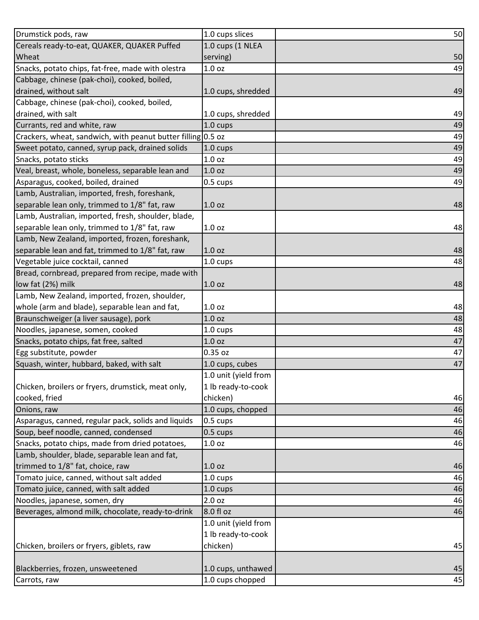| Drumstick pods, raw                                          | 1.0 cups slices      | 50 |
|--------------------------------------------------------------|----------------------|----|
| Cereals ready-to-eat, QUAKER, QUAKER Puffed                  | 1.0 cups (1 NLEA     |    |
| Wheat                                                        | serving)             | 50 |
| Snacks, potato chips, fat-free, made with olestra            | 1.0 <sub>oz</sub>    | 49 |
| Cabbage, chinese (pak-choi), cooked, boiled,                 |                      |    |
| drained, without salt                                        | 1.0 cups, shredded   | 49 |
| Cabbage, chinese (pak-choi), cooked, boiled,                 |                      |    |
| drained, with salt                                           | 1.0 cups, shredded   | 49 |
| Currants, red and white, raw                                 | $1.0 \text{ cups}$   | 49 |
| Crackers, wheat, sandwich, with peanut butter filling 0.5 oz |                      | 49 |
| Sweet potato, canned, syrup pack, drained solids             | $1.0 \text{ cups}$   | 49 |
| Snacks, potato sticks                                        | 1.0 <sub>oz</sub>    | 49 |
| Veal, breast, whole, boneless, separable lean and            | 1.0 <sub>oz</sub>    | 49 |
| Asparagus, cooked, boiled, drained                           | 0.5 cups             | 49 |
| Lamb, Australian, imported, fresh, foreshank,                |                      |    |
| separable lean only, trimmed to 1/8" fat, raw                | 1.0 <sub>oz</sub>    | 48 |
| Lamb, Australian, imported, fresh, shoulder, blade,          |                      |    |
| separable lean only, trimmed to 1/8" fat, raw                | 1.0 <sub>oz</sub>    | 48 |
| Lamb, New Zealand, imported, frozen, foreshank,              |                      |    |
| separable lean and fat, trimmed to 1/8" fat, raw             | 1.0 <sub>oz</sub>    | 48 |
| Vegetable juice cocktail, canned                             | 1.0 cups             | 48 |
| Bread, cornbread, prepared from recipe, made with            |                      |    |
| low fat (2%) milk                                            | 1.0 <sub>oz</sub>    | 48 |
| Lamb, New Zealand, imported, frozen, shoulder,               |                      |    |
| whole (arm and blade), separable lean and fat,               | 1.0 <sub>oz</sub>    | 48 |
| Braunschweiger (a liver sausage), pork                       | 1.0 <sub>oz</sub>    | 48 |
| Noodles, japanese, somen, cooked                             | $1.0 \text{ cups}$   | 48 |
| Snacks, potato chips, fat free, salted                       | 1.0 <sub>oz</sub>    | 47 |
| Egg substitute, powder                                       | 0.35 oz              | 47 |
| Squash, winter, hubbard, baked, with salt                    | 1.0 cups, cubes      | 47 |
|                                                              | 1.0 unit (yield from |    |
| Chicken, broilers or fryers, drumstick, meat only,           | 1 lb ready-to-cook   |    |
| cooked, fried                                                | chicken)             | 46 |
| Onions, raw                                                  | 1.0 cups, chopped    | 46 |
| Asparagus, canned, regular pack, solids and liquids          | 0.5 cups             | 46 |
| Soup, beef noodle, canned, condensed                         | 0.5 cups             | 46 |
| Snacks, potato chips, made from dried potatoes,              | 1.0 <sub>oz</sub>    | 46 |
| Lamb, shoulder, blade, separable lean and fat,               |                      |    |
| trimmed to 1/8" fat, choice, raw                             | 1.0 <sub>oz</sub>    | 46 |
| Tomato juice, canned, without salt added                     | 1.0 cups             | 46 |
| Tomato juice, canned, with salt added                        | 1.0 cups             | 46 |
| Noodles, japanese, somen, dry                                | 2.0 oz               | 46 |
| Beverages, almond milk, chocolate, ready-to-drink            | 8.0 fl oz            | 46 |
|                                                              | 1.0 unit (yield from |    |
|                                                              | 1 lb ready-to-cook   |    |
| Chicken, broilers or fryers, giblets, raw                    | chicken)             | 45 |
|                                                              |                      |    |
| Blackberries, frozen, unsweetened                            | 1.0 cups, unthawed   | 45 |
| Carrots, raw                                                 | 1.0 cups chopped     | 45 |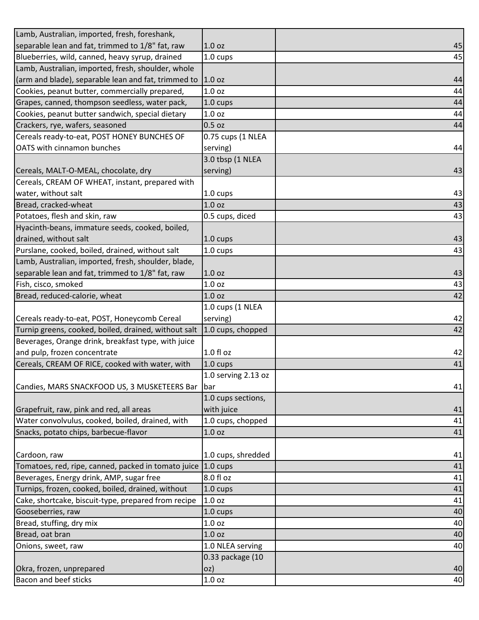| Lamb, Australian, imported, fresh, foreshank,        |                     |    |
|------------------------------------------------------|---------------------|----|
| separable lean and fat, trimmed to 1/8" fat, raw     | 1.0 <sub>oz</sub>   | 45 |
| Blueberries, wild, canned, heavy syrup, drained      | 1.0 cups            | 45 |
| Lamb, Australian, imported, fresh, shoulder, whole   |                     |    |
| (arm and blade), separable lean and fat, trimmed to  | 1.0 oz              | 44 |
| Cookies, peanut butter, commercially prepared,       | 1.0 <sub>oz</sub>   | 44 |
| Grapes, canned, thompson seedless, water pack,       | 1.0 cups            | 44 |
| Cookies, peanut butter sandwich, special dietary     | 1.0 <sub>oz</sub>   | 44 |
| Crackers, rye, wafers, seasoned                      | 0.5 oz              | 44 |
| Cereals ready-to-eat, POST HONEY BUNCHES OF          | 0.75 cups (1 NLEA   |    |
| OATS with cinnamon bunches                           | serving)            | 44 |
|                                                      | 3.0 tbsp (1 NLEA    |    |
| Cereals, MALT-O-MEAL, chocolate, dry                 | serving)            | 43 |
| Cereals, CREAM OF WHEAT, instant, prepared with      |                     |    |
| water, without salt                                  | 1.0 cups            | 43 |
| Bread, cracked-wheat                                 | 1.0 <sub>oz</sub>   | 43 |
| Potatoes, flesh and skin, raw                        | 0.5 cups, diced     | 43 |
| Hyacinth-beans, immature seeds, cooked, boiled,      |                     |    |
| drained, without salt                                | 1.0 cups            | 43 |
| Purslane, cooked, boiled, drained, without salt      | 1.0 cups            | 43 |
| Lamb, Australian, imported, fresh, shoulder, blade,  |                     |    |
| separable lean and fat, trimmed to 1/8" fat, raw     | 1.0 <sub>oz</sub>   | 43 |
| Fish, cisco, smoked                                  | 1.0 <sub>oz</sub>   | 43 |
| Bread, reduced-calorie, wheat                        | 1.0 <sub>oz</sub>   | 42 |
|                                                      | 1.0 cups (1 NLEA    |    |
| Cereals ready-to-eat, POST, Honeycomb Cereal         | serving)            | 42 |
| Turnip greens, cooked, boiled, drained, without salt | 1.0 cups, chopped   | 42 |
| Beverages, Orange drink, breakfast type, with juice  |                     |    |
| and pulp, frozen concentrate                         | 1.0 fl oz           | 42 |
| Cereals, CREAM OF RICE, cooked with water, with      | 1.0 cups            | 41 |
|                                                      | 1.0 serving 2.13 oz |    |
| Candies, MARS SNACKFOOD US, 3 MUSKETEERS Bar         | bar                 | 41 |
|                                                      | 1.0 cups sections,  |    |
| Grapefruit, raw, pink and red, all areas             | with juice          | 41 |
| Water convolvulus, cooked, boiled, drained, with     | 1.0 cups, chopped   | 41 |
| Snacks, potato chips, barbecue-flavor                | 1.0 <sub>oz</sub>   | 41 |
|                                                      |                     |    |
| Cardoon, raw                                         | 1.0 cups, shredded  | 41 |
| Tomatoes, red, ripe, canned, packed in tomato juice  | $1.0 \text{ cups}$  | 41 |
| Beverages, Energy drink, AMP, sugar free             | 8.0 fl oz           | 41 |
| Turnips, frozen, cooked, boiled, drained, without    | 1.0 cups            | 41 |
| Cake, shortcake, biscuit-type, prepared from recipe  | 1.0 <sub>oz</sub>   | 41 |
| Gooseberries, raw                                    | 1.0 cups            | 40 |
| Bread, stuffing, dry mix                             | 1.0 <sub>oz</sub>   | 40 |
| Bread, oat bran                                      | 1.0 <sub>oz</sub>   | 40 |
| Onions, sweet, raw                                   | 1.0 NLEA serving    | 40 |
|                                                      | 0.33 package (10    |    |
| Okra, frozen, unprepared                             | oz)                 | 40 |
| Bacon and beef sticks                                | 1.0 oz              | 40 |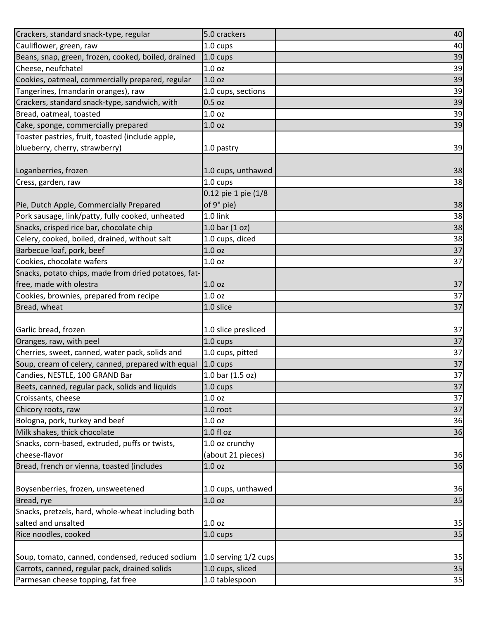| Crackers, standard snack-type, regular               | 5.0 crackers         | 40 |
|------------------------------------------------------|----------------------|----|
| Cauliflower, green, raw                              | 1.0 cups             | 40 |
| Beans, snap, green, frozen, cooked, boiled, drained  | $1.0 \text{ cups}$   | 39 |
| Cheese, neufchatel                                   | 1.0 <sub>oz</sub>    | 39 |
| Cookies, oatmeal, commercially prepared, regular     | 1.0 <sub>oz</sub>    | 39 |
| Tangerines, (mandarin oranges), raw                  | 1.0 cups, sections   | 39 |
| Crackers, standard snack-type, sandwich, with        | 0.5 oz               | 39 |
| Bread, oatmeal, toasted                              | 1.0 <sub>oz</sub>    | 39 |
| Cake, sponge, commercially prepared                  | 1.0 <sub>oz</sub>    | 39 |
| Toaster pastries, fruit, toasted (include apple,     |                      |    |
| blueberry, cherry, strawberry)                       | 1.0 pastry           | 39 |
|                                                      |                      |    |
| Loganberries, frozen                                 | 1.0 cups, unthawed   | 38 |
| Cress, garden, raw                                   | 1.0 cups             | 38 |
|                                                      | 0.12 pie 1 pie (1/8  |    |
| Pie, Dutch Apple, Commercially Prepared              | of 9" pie)           | 38 |
| Pork sausage, link/patty, fully cooked, unheated     | 1.0 link             | 38 |
| Snacks, crisped rice bar, chocolate chip             | 1.0 bar $(1 oz)$     | 38 |
| Celery, cooked, boiled, drained, without salt        | 1.0 cups, diced      | 38 |
| Barbecue loaf, pork, beef                            | 1.0 <sub>oz</sub>    | 37 |
| Cookies, chocolate wafers                            | 1.0 <sub>oz</sub>    | 37 |
| Snacks, potato chips, made from dried potatoes, fat- |                      |    |
| free, made with olestra                              | 1.0 <sub>oz</sub>    | 37 |
| Cookies, brownies, prepared from recipe              | 1.0 <sub>oz</sub>    | 37 |
| Bread, wheat                                         | 1.0 slice            | 37 |
|                                                      |                      |    |
| Garlic bread, frozen                                 | 1.0 slice presliced  | 37 |
| Oranges, raw, with peel                              | 1.0 cups             | 37 |
| Cherries, sweet, canned, water pack, solids and      | 1.0 cups, pitted     | 37 |
| Soup, cream of celery, canned, prepared with equal   | $1.0 \text{ cups}$   | 37 |
| Candies, NESTLE, 100 GRAND Bar                       | 1.0 bar $(1.5 oz)$   | 37 |
| Beets, canned, regular pack, solids and liquids      | $1.0 \text{ cups}$   | 37 |
| Croissants, cheese                                   | 1.0 <sub>oz</sub>    | 37 |
| Chicory roots, raw                                   | 1.0 root             | 37 |
| Bologna, pork, turkey and beef                       | 1.0 <sub>oz</sub>    | 36 |
| Milk shakes, thick chocolate                         | $1.0 f$ l oz         | 36 |
| Snacks, corn-based, extruded, puffs or twists,       | 1.0 oz crunchy       |    |
| cheese-flavor                                        | (about 21 pieces)    | 36 |
| Bread, french or vienna, toasted (includes           | 1.0 <sub>oz</sub>    | 36 |
|                                                      |                      |    |
| Boysenberries, frozen, unsweetened                   | 1.0 cups, unthawed   | 36 |
| Bread, rye                                           | 1.0 <sub>oz</sub>    | 35 |
| Snacks, pretzels, hard, whole-wheat including both   |                      |    |
| salted and unsalted                                  | 1.0 <sub>oz</sub>    | 35 |
| Rice noodles, cooked                                 | 1.0 cups             | 35 |
|                                                      |                      |    |
| Soup, tomato, canned, condensed, reduced sodium      | 1.0 serving 1/2 cups | 35 |
| Carrots, canned, regular pack, drained solids        | 1.0 cups, sliced     | 35 |
| Parmesan cheese topping, fat free                    | 1.0 tablespoon       | 35 |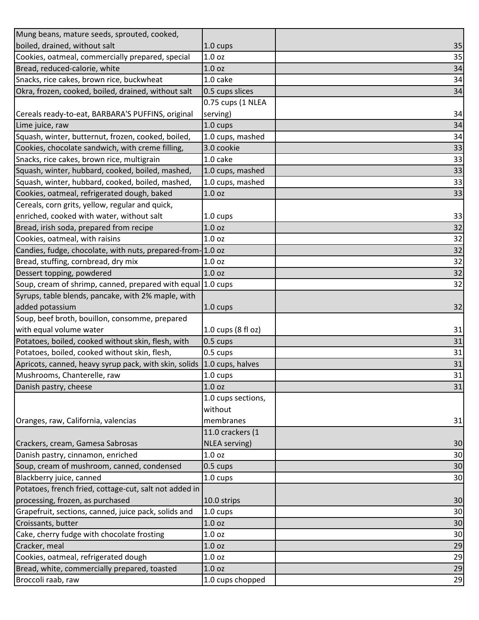| Mung beans, mature seeds, sprouted, cooked,                 |                      |    |
|-------------------------------------------------------------|----------------------|----|
| boiled, drained, without salt                               | $1.0 \text{ cups}$   | 35 |
| Cookies, oatmeal, commercially prepared, special            | 1.0 <sub>oz</sub>    | 35 |
| Bread, reduced-calorie, white                               | 1.0 <sub>oz</sub>    | 34 |
| Snacks, rice cakes, brown rice, buckwheat                   | 1.0 cake             | 34 |
| Okra, frozen, cooked, boiled, drained, without salt         | 0.5 cups slices      | 34 |
|                                                             | 0.75 cups (1 NLEA    |    |
| Cereals ready-to-eat, BARBARA'S PUFFINS, original           | serving)             | 34 |
| Lime juice, raw                                             | $1.0 \text{ cups}$   | 34 |
| Squash, winter, butternut, frozen, cooked, boiled,          | 1.0 cups, mashed     | 34 |
| Cookies, chocolate sandwich, with creme filling,            | 3.0 cookie           | 33 |
| Snacks, rice cakes, brown rice, multigrain                  | 1.0 cake             | 33 |
| Squash, winter, hubbard, cooked, boiled, mashed,            | 1.0 cups, mashed     | 33 |
| Squash, winter, hubbard, cooked, boiled, mashed,            | 1.0 cups, mashed     | 33 |
| Cookies, oatmeal, refrigerated dough, baked                 | 1.0 <sub>oz</sub>    | 33 |
| Cereals, corn grits, yellow, regular and quick,             |                      |    |
| enriched, cooked with water, without salt                   | $1.0 \text{ cups}$   | 33 |
| Bread, irish soda, prepared from recipe                     | 1.0 <sub>oz</sub>    | 32 |
| Cookies, oatmeal, with raisins                              | 1.0 <sub>oz</sub>    | 32 |
| Candies, fudge, chocolate, with nuts, prepared-from-1.0 oz  |                      | 32 |
| Bread, stuffing, cornbread, dry mix                         | 1.0 <sub>oz</sub>    | 32 |
| Dessert topping, powdered                                   | 1.0 <sub>oz</sub>    | 32 |
| Soup, cream of shrimp, canned, prepared with equal 1.0 cups |                      | 32 |
| Syrups, table blends, pancake, with 2% maple, with          |                      |    |
| added potassium                                             | $1.0 \text{ cups}$   | 32 |
| Soup, beef broth, bouillon, consomme, prepared              |                      |    |
| with equal volume water                                     | 1.0 cups (8 fl oz)   | 31 |
| Potatoes, boiled, cooked without skin, flesh, with          | 0.5 cups             | 31 |
| Potatoes, boiled, cooked without skin, flesh,               | 0.5 cups             | 31 |
| Apricots, canned, heavy syrup pack, with skin, solids       | 1.0 cups, halves     | 31 |
| Mushrooms, Chanterelle, raw                                 | $1.0 \text{ cups}$   | 31 |
| Danish pastry, cheese                                       | 1.0 <sub>oz</sub>    | 31 |
|                                                             | 1.0 cups sections,   |    |
|                                                             | without              |    |
| Oranges, raw, California, valencias                         | membranes            | 31 |
|                                                             | 11.0 crackers (1     |    |
| Crackers, cream, Gamesa Sabrosas                            | <b>NLEA</b> serving) | 30 |
| Danish pastry, cinnamon, enriched                           | 1.0 <sub>oz</sub>    | 30 |
| Soup, cream of mushroom, canned, condensed                  | $0.5 \text{ cups}$   | 30 |
| Blackberry juice, canned                                    | 1.0 cups             | 30 |
| Potatoes, french fried, cottage-cut, salt not added in      |                      |    |
| processing, frozen, as purchased                            | 10.0 strips          | 30 |
| Grapefruit, sections, canned, juice pack, solids and        | $1.0 \text{ cups}$   | 30 |
| Croissants, butter                                          | 1.0 <sub>oz</sub>    | 30 |
| Cake, cherry fudge with chocolate frosting                  | 1.0 <sub>oz</sub>    | 30 |
| Cracker, meal                                               | 1.0 <sub>oz</sub>    | 29 |
| Cookies, oatmeal, refrigerated dough                        | 1.0 <sub>oz</sub>    | 29 |
| Bread, white, commercially prepared, toasted                | 1.0 <sub>oz</sub>    | 29 |
| Broccoli raab, raw                                          | 1.0 cups chopped     | 29 |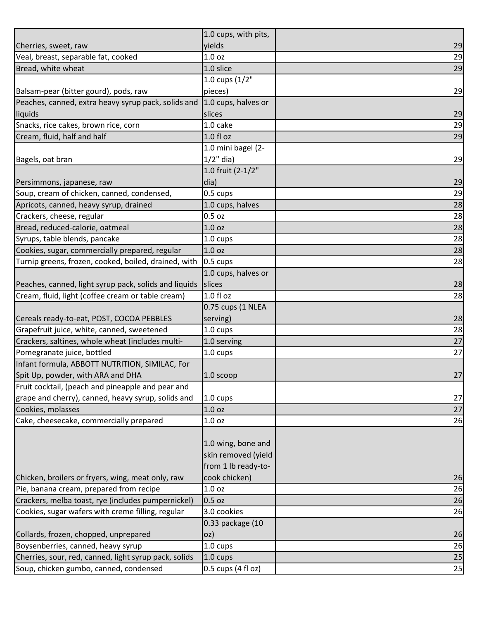|                                                       | 1.0 cups, with pits, |    |
|-------------------------------------------------------|----------------------|----|
| Cherries, sweet, raw                                  | yields               | 29 |
| Veal, breast, separable fat, cooked                   | 1.0 <sub>oz</sub>    | 29 |
| Bread, white wheat                                    | 1.0 slice            | 29 |
|                                                       | 1.0 cups $(1/2"$     |    |
| Balsam-pear (bitter gourd), pods, raw                 | pieces)              | 29 |
| Peaches, canned, extra heavy syrup pack, solids and   | 1.0 cups, halves or  |    |
| liquids                                               | slices               | 29 |
| Snacks, rice cakes, brown rice, corn                  | 1.0 cake             | 29 |
| Cream, fluid, half and half                           | 1.0 fl oz            | 29 |
|                                                       | 1.0 mini bagel (2-   |    |
| Bagels, oat bran                                      | $1/2$ " dia)         | 29 |
|                                                       | 1.0 fruit (2-1/2"    |    |
| Persimmons, japanese, raw                             | dia)                 | 29 |
| Soup, cream of chicken, canned, condensed,            | 0.5 cups             | 29 |
| Apricots, canned, heavy syrup, drained                | 1.0 cups, halves     | 28 |
| Crackers, cheese, regular                             | 0.5 oz               | 28 |
| Bread, reduced-calorie, oatmeal                       | 1.0 <sub>oz</sub>    | 28 |
| Syrups, table blends, pancake                         | 1.0 cups             | 28 |
| Cookies, sugar, commercially prepared, regular        | 1.0 <sub>oz</sub>    | 28 |
| Turnip greens, frozen, cooked, boiled, drained, with  | $0.5 \text{ cups}$   | 28 |
|                                                       | 1.0 cups, halves or  |    |
| Peaches, canned, light syrup pack, solids and liquids | slices               | 28 |
| Cream, fluid, light (coffee cream or table cream)     | 1.0 fl oz            | 28 |
|                                                       | 0.75 cups (1 NLEA    |    |
| Cereals ready-to-eat, POST, COCOA PEBBLES             | serving)             | 28 |
| Grapefruit juice, white, canned, sweetened            | 1.0 cups             | 28 |
| Crackers, saltines, whole wheat (includes multi-      | 1.0 serving          | 27 |
| Pomegranate juice, bottled                            | 1.0 cups             | 27 |
| Infant formula, ABBOTT NUTRITION, SIMILAC, For        |                      |    |
| Spit Up, powder, with ARA and DHA                     | 1.0 scoop            | 27 |
| Fruit cocktail, (peach and pineapple and pear and     |                      |    |
| grape and cherry), canned, heavy syrup, solids and    | 1.0 cups             | 27 |
| Cookies, molasses                                     | 1.0 <sub>oz</sub>    | 27 |
| Cake, cheesecake, commercially prepared               | 1.0 <sub>oz</sub>    | 26 |
|                                                       |                      |    |
|                                                       | 1.0 wing, bone and   |    |
|                                                       | skin removed (yield  |    |
|                                                       | from 1 lb ready-to-  |    |
| Chicken, broilers or fryers, wing, meat only, raw     | cook chicken)        | 26 |
| Pie, banana cream, prepared from recipe               | 1.0 <sub>oz</sub>    | 26 |
| Crackers, melba toast, rye (includes pumpernickel)    | 0.5 oz               | 26 |
| Cookies, sugar wafers with creme filling, regular     | 3.0 cookies          | 26 |
|                                                       | 0.33 package (10     |    |
| Collards, frozen, chopped, unprepared                 | oz)                  | 26 |
| Boysenberries, canned, heavy syrup                    | 1.0 cups             | 26 |
| Cherries, sour, red, canned, light syrup pack, solids | 1.0 cups             | 25 |
| Soup, chicken gumbo, canned, condensed                | 0.5 cups (4 fl oz)   | 25 |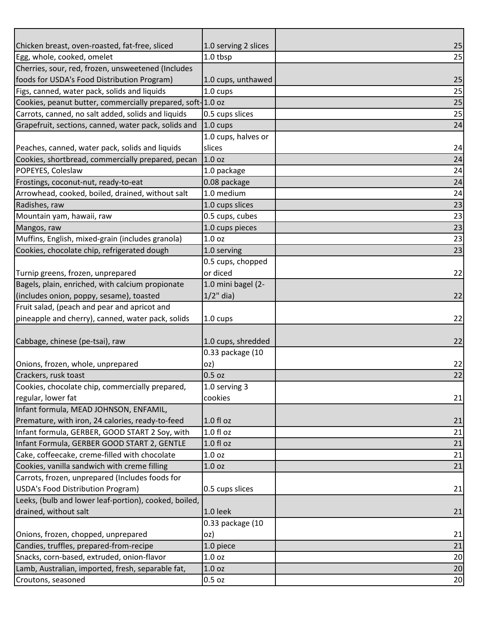| Chicken breast, oven-roasted, fat-free, sliced             | 1.0 serving 2 slices | 25 |
|------------------------------------------------------------|----------------------|----|
| Egg, whole, cooked, omelet                                 | 1.0 tbsp             | 25 |
| Cherries, sour, red, frozen, unsweetened (Includes         |                      |    |
| foods for USDA's Food Distribution Program)                | 1.0 cups, unthawed   | 25 |
| Figs, canned, water pack, solids and liquids               | $1.0 \text{ cups}$   | 25 |
| Cookies, peanut butter, commercially prepared, soft-1.0 oz |                      | 25 |
| Carrots, canned, no salt added, solids and liquids         | 0.5 cups slices      | 25 |
| Grapefruit, sections, canned, water pack, solids and       | $1.0 \text{ cups}$   | 24 |
|                                                            | 1.0 cups, halves or  |    |
| Peaches, canned, water pack, solids and liquids            | slices               | 24 |
| Cookies, shortbread, commercially prepared, pecan          | 1.0 <sub>oz</sub>    | 24 |
| POPEYES, Coleslaw                                          | 1.0 package          | 24 |
| Frostings, coconut-nut, ready-to-eat                       | 0.08 package         | 24 |
| Arrowhead, cooked, boiled, drained, without salt           | 1.0 medium           | 24 |
| Radishes, raw                                              | 1.0 cups slices      | 23 |
| Mountain yam, hawaii, raw                                  | 0.5 cups, cubes      | 23 |
| Mangos, raw                                                | 1.0 cups pieces      | 23 |
| Muffins, English, mixed-grain (includes granola)           | 1.0 <sub>oz</sub>    | 23 |
| Cookies, chocolate chip, refrigerated dough                | 1.0 serving          | 23 |
|                                                            | 0.5 cups, chopped    |    |
| Turnip greens, frozen, unprepared                          | or diced             | 22 |
| Bagels, plain, enriched, with calcium propionate           | 1.0 mini bagel (2-   |    |
| (includes onion, poppy, sesame), toasted                   | $1/2$ " dia)         | 22 |
| Fruit salad, (peach and pear and apricot and               |                      |    |
| pineapple and cherry), canned, water pack, solids          | $1.0 \text{ cups}$   | 22 |
|                                                            |                      |    |
| Cabbage, chinese (pe-tsai), raw                            | 1.0 cups, shredded   | 22 |
|                                                            | 0.33 package (10     |    |
| Onions, frozen, whole, unprepared                          | oz)                  | 22 |
| Crackers, rusk toast                                       | 0.5 oz               | 22 |
| Cookies, chocolate chip, commercially prepared,            | 1.0 serving 3        |    |
| regular, lower fat                                         | cookies              | 21 |
| Infant formula, MEAD JOHNSON, ENFAMIL,                     |                      |    |
| Premature, with iron, 24 calories, ready-to-feed           | $1.0 f$ l oz         | 21 |
| Infant formula, GERBER, GOOD START 2 Soy, with             | 1.0 fl oz            | 21 |
| Infant Formula, GERBER GOOD START 2, GENTLE                | 1.0 fl oz            | 21 |
| Cake, coffeecake, creme-filled with chocolate              | 1.0 <sub>oz</sub>    | 21 |
| Cookies, vanilla sandwich with creme filling               | 1.0 <sub>oz</sub>    | 21 |
| Carrots, frozen, unprepared (Includes foods for            |                      |    |
| <b>USDA's Food Distribution Program)</b>                   | 0.5 cups slices      | 21 |
| Leeks, (bulb and lower leaf-portion), cooked, boiled,      |                      |    |
| drained, without salt                                      | $1.0$ leek           | 21 |
|                                                            | 0.33 package (10     |    |
| Onions, frozen, chopped, unprepared                        | oz)                  | 21 |
| Candies, truffles, prepared-from-recipe                    | 1.0 piece            | 21 |
| Snacks, corn-based, extruded, onion-flavor                 | 1.0 <sub>oz</sub>    | 20 |
| Lamb, Australian, imported, fresh, separable fat,          | 1.0 <sub>oz</sub>    | 20 |
| Croutons, seasoned                                         | 0.5 oz               | 20 |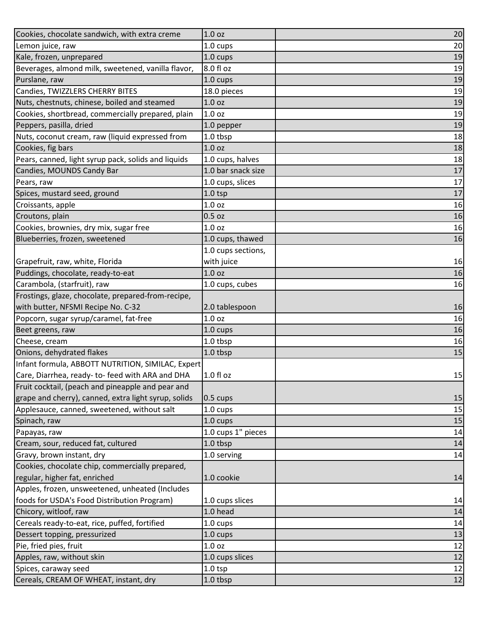| Cookies, chocolate sandwich, with extra creme        | 1.0 <sub>oz</sub>  | 20 |
|------------------------------------------------------|--------------------|----|
| Lemon juice, raw                                     | 1.0 cups           | 20 |
| Kale, frozen, unprepared                             | 1.0 cups           | 19 |
| Beverages, almond milk, sweetened, vanilla flavor,   | 8.0 fl oz          | 19 |
| Purslane, raw                                        | 1.0 cups           | 19 |
| Candies, TWIZZLERS CHERRY BITES                      | 18.0 pieces        | 19 |
| Nuts, chestnuts, chinese, boiled and steamed         | 1.0 <sub>oz</sub>  | 19 |
| Cookies, shortbread, commercially prepared, plain    | 1.0 <sub>oz</sub>  | 19 |
| Peppers, pasilla, dried                              | 1.0 pepper         | 19 |
| Nuts, coconut cream, raw (liquid expressed from      | 1.0 tbsp           | 18 |
| Cookies, fig bars                                    | 1.0 <sub>oz</sub>  | 18 |
| Pears, canned, light syrup pack, solids and liquids  | 1.0 cups, halves   | 18 |
| Candies, MOUNDS Candy Bar                            | 1.0 bar snack size | 17 |
| Pears, raw                                           | 1.0 cups, slices   | 17 |
| Spices, mustard seed, ground                         | $1.0$ tsp          | 17 |
| Croissants, apple                                    | 1.0 <sub>oz</sub>  | 16 |
| Croutons, plain                                      | 0.5 oz             | 16 |
| Cookies, brownies, dry mix, sugar free               | 1.0 <sub>oz</sub>  | 16 |
| Blueberries, frozen, sweetened                       | 1.0 cups, thawed   | 16 |
|                                                      | 1.0 cups sections, |    |
| Grapefruit, raw, white, Florida                      | with juice         | 16 |
| Puddings, chocolate, ready-to-eat                    | 1.0 <sub>oz</sub>  | 16 |
| Carambola, (starfruit), raw                          | 1.0 cups, cubes    | 16 |
| Frostings, glaze, chocolate, prepared-from-recipe,   |                    |    |
| with butter, NFSMI Recipe No. C-32                   | 2.0 tablespoon     | 16 |
| Popcorn, sugar syrup/caramel, fat-free               | 1.0 <sub>oz</sub>  | 16 |
| Beet greens, raw                                     | 1.0 cups           | 16 |
| Cheese, cream                                        | 1.0 tbsp           | 16 |
| Onions, dehydrated flakes                            | 1.0 tbsp           | 15 |
| Infant formula, ABBOTT NUTRITION, SIMILAC, Expert    |                    |    |
| Care, Diarrhea, ready- to- feed with ARA and DHA     | 1.0 fl oz          | 15 |
| Fruit cocktail, (peach and pineapple and pear and    |                    |    |
| grape and cherry), canned, extra light syrup, solids | $0.5 \text{ cups}$ | 15 |
| Applesauce, canned, sweetened, without salt          | 1.0 cups           | 15 |
| Spinach, raw                                         | $1.0 \text{ cups}$ | 15 |
| Papayas, raw                                         | 1.0 cups 1" pieces | 14 |
| Cream, sour, reduced fat, cultured                   | 1.0 tbsp           | 14 |
| Gravy, brown instant, dry                            | 1.0 serving        | 14 |
| Cookies, chocolate chip, commercially prepared,      |                    |    |
| regular, higher fat, enriched                        | 1.0 cookie         | 14 |
| Apples, frozen, unsweetened, unheated (Includes      |                    |    |
| foods for USDA's Food Distribution Program)          | 1.0 cups slices    | 14 |
| Chicory, witloof, raw                                | 1.0 head           | 14 |
| Cereals ready-to-eat, rice, puffed, fortified        | $1.0 \text{ cups}$ | 14 |
| Dessert topping, pressurized                         | $1.0 \text{ cups}$ | 13 |
| Pie, fried pies, fruit                               | 1.0 <sub>oz</sub>  | 12 |
| Apples, raw, without skin                            | 1.0 cups slices    | 12 |
| Spices, caraway seed                                 | $1.0$ tsp          | 12 |
| Cereals, CREAM OF WHEAT, instant, dry                | 1.0 tbsp           | 12 |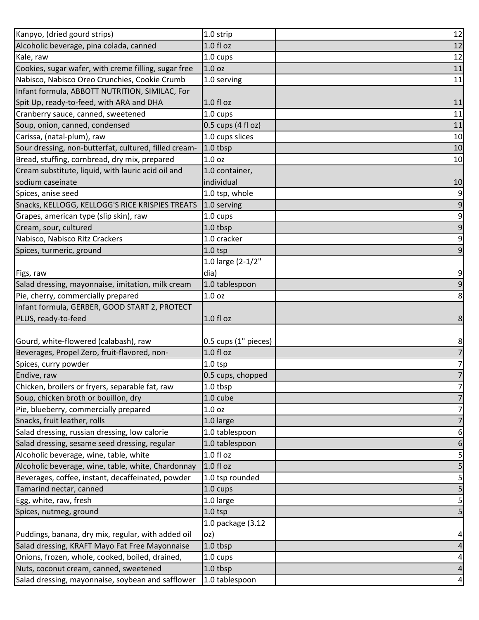| Kanpyo, (dried gourd strips)                          | 1.0 strip            | 12               |
|-------------------------------------------------------|----------------------|------------------|
| Alcoholic beverage, pina colada, canned               | 1.0 fl oz            | 12               |
| Kale, raw                                             | 1.0 cups             | 12               |
| Cookies, sugar wafer, with creme filling, sugar free  | 1.0 <sub>oz</sub>    | 11               |
| Nabisco, Nabisco Oreo Crunchies, Cookie Crumb         | 1.0 serving          | 11               |
| Infant formula, ABBOTT NUTRITION, SIMILAC, For        |                      |                  |
| Spit Up, ready-to-feed, with ARA and DHA              | $1.0 f$ l oz         | 11               |
| Cranberry sauce, canned, sweetened                    | $1.0 \text{ cups}$   | 11               |
| Soup, onion, canned, condensed                        | 0.5 cups (4 fl oz)   | 11               |
| Carissa, (natal-plum), raw                            | 1.0 cups slices      | 10               |
| Sour dressing, non-butterfat, cultured, filled cream- | 1.0 tbsp             | 10               |
| Bread, stuffing, cornbread, dry mix, prepared         | 1.0 <sub>oz</sub>    | 10               |
| Cream substitute, liquid, with lauric acid oil and    | 1.0 container,       |                  |
| sodium caseinate                                      | individual           | 10               |
| Spices, anise seed                                    | 1.0 tsp, whole       | $\boldsymbol{9}$ |
| Snacks, KELLOGG, KELLOGG'S RICE KRISPIES TREATS       | 1.0 serving          | $\mathsf 9$      |
| Grapes, american type (slip skin), raw                | $1.0 \text{ cups}$   | $\boldsymbol{9}$ |
| Cream, sour, cultured                                 | 1.0 tbsp             | $\overline{9}$   |
| Nabisco, Nabisco Ritz Crackers                        | 1.0 cracker          | $\boldsymbol{9}$ |
| Spices, turmeric, ground                              | $1.0$ tsp            | $\mathsf 9$      |
|                                                       | 1.0 large (2-1/2"    |                  |
| Figs, raw                                             | dia)                 | $\boldsymbol{9}$ |
| Salad dressing, mayonnaise, imitation, milk cream     | 1.0 tablespoon       | $\mathsf 9$      |
| Pie, cherry, commercially prepared                    | 1.0 <sub>oz</sub>    | $\bf 8$          |
| Infant formula, GERBER, GOOD START 2, PROTECT         |                      |                  |
| PLUS, ready-to-feed                                   | 1.0 fl oz            | $\bf 8$          |
|                                                       |                      |                  |
| Gourd, white-flowered (calabash), raw                 | 0.5 cups (1" pieces) | 8                |
| Beverages, Propel Zero, fruit-flavored, non-          | $1.0 f$ l oz         | $\overline{7}$   |
| Spices, curry powder                                  | $1.0$ tsp            | $\boldsymbol{7}$ |
| Endive, raw                                           | 0.5 cups, chopped    | $\overline{7}$   |
| Chicken, broilers or fryers, separable fat, raw       | 1.0 tbsp             | $\overline{7}$   |
| Soup, chicken broth or bouillon, dry                  | 1.0 cube             | $\overline{7}$   |
| Pie, blueberry, commercially prepared                 | 1.0 <sub>oz</sub>    | $\overline{7}$   |
| Snacks, fruit leather, rolls                          | 1.0 large            | $\overline{7}$   |
| Salad dressing, russian dressing, low calorie         | 1.0 tablespoon       | $\boldsymbol{6}$ |
| Salad dressing, sesame seed dressing, regular         | 1.0 tablespoon       | $\boldsymbol{6}$ |
| Alcoholic beverage, wine, table, white                | 1.0 fl oz            | 5                |
| Alcoholic beverage, wine, table, white, Chardonnay    | 1.0 fl oz            | 5                |
| Beverages, coffee, instant, decaffeinated, powder     | 1.0 tsp rounded      | 5                |
| Tamarind nectar, canned                               | 1.0 cups             | 5                |
| Egg, white, raw, fresh                                | 1.0 large            | $\mathsf S$      |
| Spices, nutmeg, ground                                | $1.0$ tsp            | 5                |
|                                                       | 1.0 package (3.12    |                  |
| Puddings, banana, dry mix, regular, with added oil    | oz)                  | 4                |
| Salad dressing, KRAFT Mayo Fat Free Mayonnaise        | 1.0 tbsp             | $\overline{a}$   |
| Onions, frozen, whole, cooked, boiled, drained,       | 1.0 cups             | $\pmb{4}$        |
| Nuts, coconut cream, canned, sweetened                | 1.0 tbsp             | $\overline{a}$   |
| Salad dressing, mayonnaise, soybean and safflower     | 1.0 tablespoon       | $\pmb{4}$        |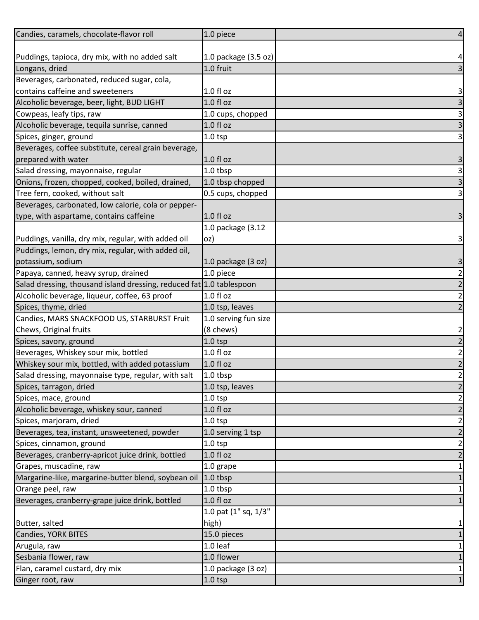| Candies, caramels, chocolate-flavor roll                             | 1.0 piece                      | $\overline{4}$          |
|----------------------------------------------------------------------|--------------------------------|-------------------------|
|                                                                      |                                |                         |
| Puddings, tapioca, dry mix, with no added salt                       | 1.0 package $(3.5 \text{ oz})$ | 4                       |
| Longans, dried                                                       | 1.0 fruit                      | $\overline{\mathbf{3}}$ |
| Beverages, carbonated, reduced sugar, cola,                          |                                |                         |
| contains caffeine and sweeteners                                     | $1.0 f$ l oz                   | $\mathbf{3}$            |
| Alcoholic beverage, beer, light, BUD LIGHT                           | $1.0 f$ l oz                   | $\overline{3}$          |
| Cowpeas, leafy tips, raw                                             | 1.0 cups, chopped              | $\overline{\mathbf{3}}$ |
| Alcoholic beverage, tequila sunrise, canned                          | $1.0 f$ l oz                   | $\overline{3}$          |
| Spices, ginger, ground                                               | $1.0$ tsp                      | $\vert$ 3               |
| Beverages, coffee substitute, cereal grain beverage,                 |                                |                         |
| prepared with water                                                  | 1.0 fl oz                      | $\mathsf{3}$            |
| Salad dressing, mayonnaise, regular                                  | 1.0 tbsp                       | $\frac{a}{3}$           |
| Onions, frozen, chopped, cooked, boiled, drained,                    | 1.0 tbsp chopped               |                         |
| Tree fern, cooked, without salt                                      | 0.5 cups, chopped              | $\vert$ 3               |
| Beverages, carbonated, low calorie, cola or pepper-                  |                                |                         |
| type, with aspartame, contains caffeine                              | $1.0 f$ l oz                   | 3 <sup>1</sup>          |
|                                                                      | 1.0 package (3.12              |                         |
| Puddings, vanilla, dry mix, regular, with added oil                  | oz)                            | 3                       |
| Puddings, lemon, dry mix, regular, with added oil,                   |                                |                         |
| potassium, sodium                                                    | 1.0 package (3 oz)             | $\mathsf{3}$            |
| Papaya, canned, heavy syrup, drained                                 | 1.0 piece                      | $\mathbf{2}$            |
| Salad dressing, thousand island dressing, reduced fat 1.0 tablespoon |                                | $\overline{2}$          |
| Alcoholic beverage, liqueur, coffee, 63 proof                        | 1.0 fl oz                      | $\mathbf{2}$            |
| Spices, thyme, dried                                                 | 1.0 tsp, leaves                | $\overline{2}$          |
| Candies, MARS SNACKFOOD US, STARBURST Fruit                          | 1.0 serving fun size           |                         |
| Chews, Original fruits                                               | (8 chews)                      | $\overline{a}$          |
| Spices, savory, ground                                               | 1.0 <sub>tsp</sub>             | $\overline{2}$          |
| Beverages, Whiskey sour mix, bottled                                 | 1.0 fl oz                      | $\overline{2}$          |
| Whiskey sour mix, bottled, with added potassium                      | 1.0 fl oz                      | $\overline{2}$          |
| Salad dressing, mayonnaise type, regular, with salt                  | 1.0 tbsp                       | $\overline{2}$          |
| Spices, tarragon, dried                                              | 1.0 tsp, leaves                | $\overline{2}$          |
| Spices, mace, ground                                                 | $1.0$ tsp                      | $\overline{a}$          |
| Alcoholic beverage, whiskey sour, canned                             | $1.0 f$ l oz                   | $\overline{2}$          |
| Spices, marjoram, dried                                              | $1.0$ tsp                      | $\mathbf{2}$            |
| Beverages, tea, instant, unsweetened, powder                         | 1.0 serving 1 tsp              | $\overline{2}$          |
| Spices, cinnamon, ground                                             | $1.0$ tsp                      | $\mathbf{2}$            |
| Beverages, cranberry-apricot juice drink, bottled                    | 1.0 fl oz                      | $\overline{2}$          |
| Grapes, muscadine, raw                                               | 1.0 grape                      | $\mathbf{1}$            |
| Margarine-like, margarine-butter blend, soybean oil 1.0 tbsp         |                                | $\mathbf 1$             |
| Orange peel, raw                                                     | 1.0 tbsp                       | $\mathbf{1}$            |
| Beverages, cranberry-grape juice drink, bottled                      | 1.0 fl oz                      | $\mathbf 1$             |
|                                                                      | 1.0 pat (1" sq, 1/3"           |                         |
| Butter, salted                                                       | high)                          | 1                       |
| Candies, YORK BITES                                                  | 15.0 pieces                    | $\mathbf 1$             |
| Arugula, raw                                                         | 1.0 leaf                       | $\mathbf{1}$            |
| Sesbania flower, raw                                                 | 1.0 flower                     | $\mathbf 1$             |
| Flan, caramel custard, dry mix                                       | 1.0 package $(3 oz)$           | $\mathbf{1}$            |
| Ginger root, raw                                                     | $1.0$ tsp                      | $1\vert$                |